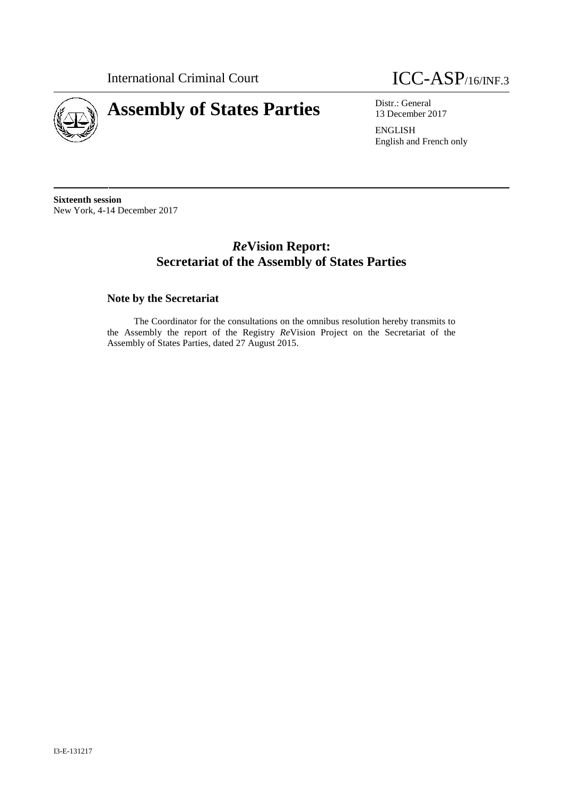

# **Assembly of States Parties** Distr.: General District General



13 December 2017

ENGLISH English and French only

**Sixteenth session** New York, 4-14 December 2017

# *Re***Vision Report: Secretariat of the Assembly of States Parties**

# **Note by the Secretariat**

The Coordinator for the consultations on the omnibus resolution hereby transmits to the Assembly the report of the Registry *Re*Vision Project on the Secretariat of the Assembly of States Parties, dated 27 August 2015.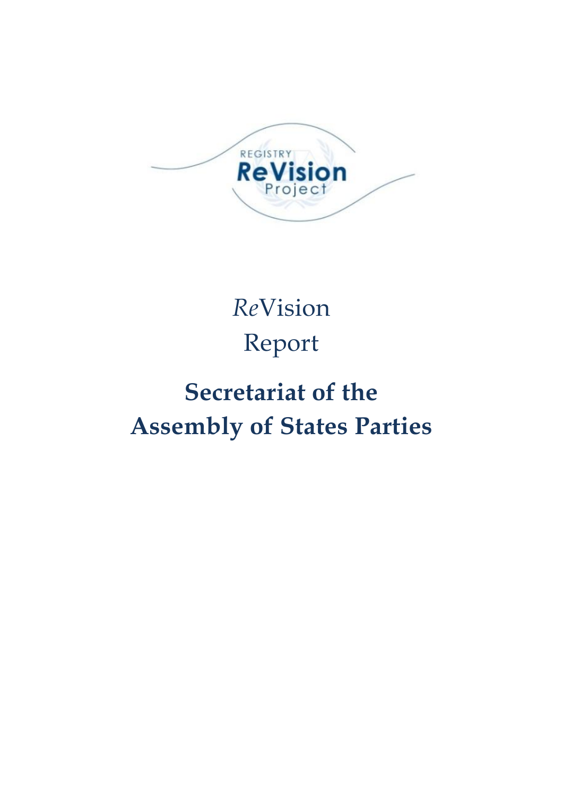

# *Re*Vision Report

# **Secretariat of the Assembly of States Parties**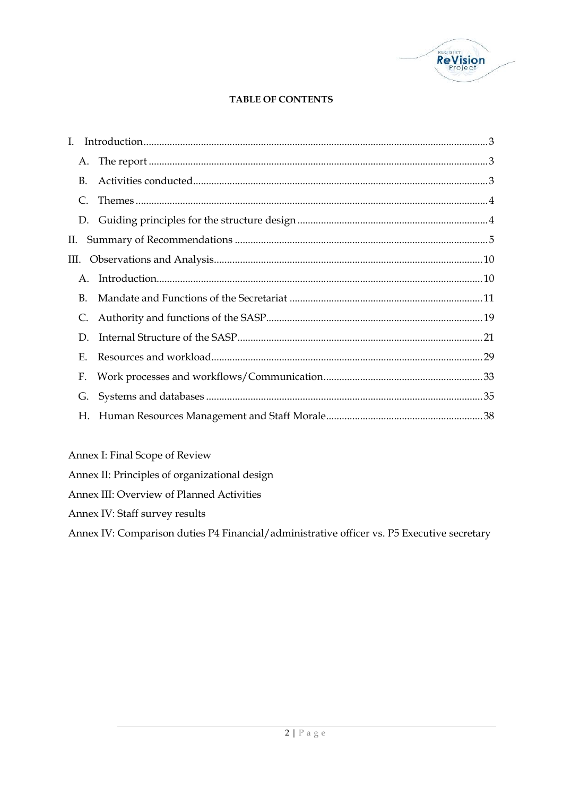

# **TABLE OF CONTENTS**

| $B_{\cdot}$ |  |
|-------------|--|
| $C_{\cdot}$ |  |
|             |  |
| П.          |  |
|             |  |
| $A_{\cdot}$ |  |
| <b>B.</b>   |  |
|             |  |
| D.          |  |
| Е.          |  |
| F.          |  |
| G.          |  |
| Н.          |  |

Annex I: Final Scope of Review

Annex II: Principles of organizational design

Annex III: Overview of Planned Activities

Annex IV: Staff survey results

Annex IV: Comparison duties P4 Financial/administrative officer vs. P5 Executive secretary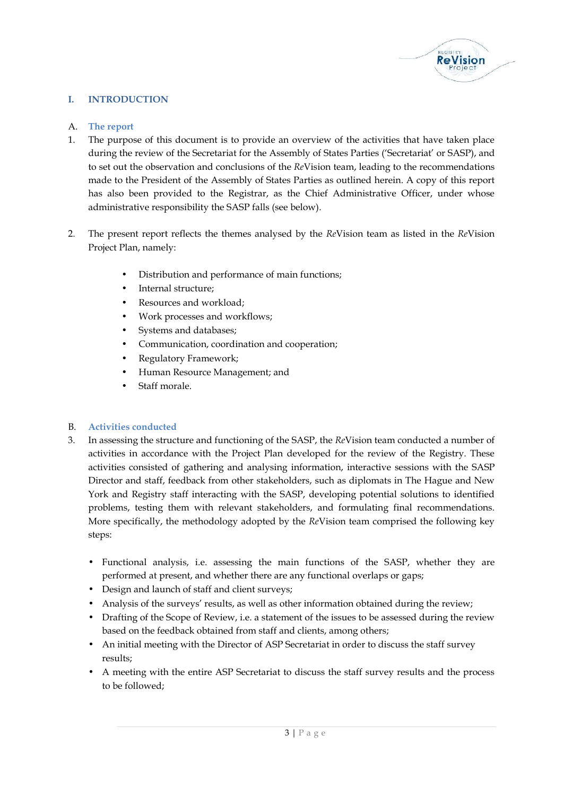

# **I. INTRODUCTION**

#### A. **The report**

- 1. The purpose of this document is to provide an overview of the activities that have taken place during the review of the Secretariat for the Assembly of States Parties ('Secretariat' or SASP), and to set out the observation and conclusions of the *Re*Vision team, leading to the recommendations made to the President of the Assembly of States Parties as outlined herein. A copy of this report has also been provided to the Registrar, as the Chief Administrative Officer, under whose administrative responsibility the SASP falls (see below).
- 2. The present report reflects the themes analysed by the *Re*Vision team as listed in the *Re*Vision Project Plan, namely:
	- Distribution and performance of main functions;
	- Internal structure;
	- Resources and workload;
	- Work processes and workflows;
	- Systems and databases;
	- Communication, coordination and cooperation;
	- Regulatory Framework;
	- Human Resource Management; and
	- Staff morale.

#### B. **Activities conducted**

- 3. In assessing the structure and functioning of the SASP, the *Re*Vision team conducted a number of activities in accordance with the Project Plan developed for the review of the Registry. These activities consisted of gathering and analysing information, interactive sessions with the SASP Director and staff, feedback from other stakeholders, such as diplomats in The Hague and New York and Registry staff interacting with the SASP, developing potential solutions to identified problems, testing them with relevant stakeholders, and formulating final recommendations. More specifically, the methodology adopted by the *Re*Vision team comprised the following key steps:
	- Functional analysis, i.e. assessing the main functions of the SASP, whether they are performed at present, and whether there are any functional overlaps or gaps;
	- Design and launch of staff and client surveys;
	- Analysis of the surveys' results, as well as other information obtained during the review;
	- Drafting of the Scope of Review, i.e. a statement of the issues to be assessed during the review based on the feedback obtained from staff and clients, among others;
	- An initial meeting with the Director of ASP Secretariat in order to discuss the staff survey results;
	- <sup>3</sup> <sup>|</sup> P a g e A meeting with the entire ASP Secretariat to discuss the staff survey results and the process to be followed;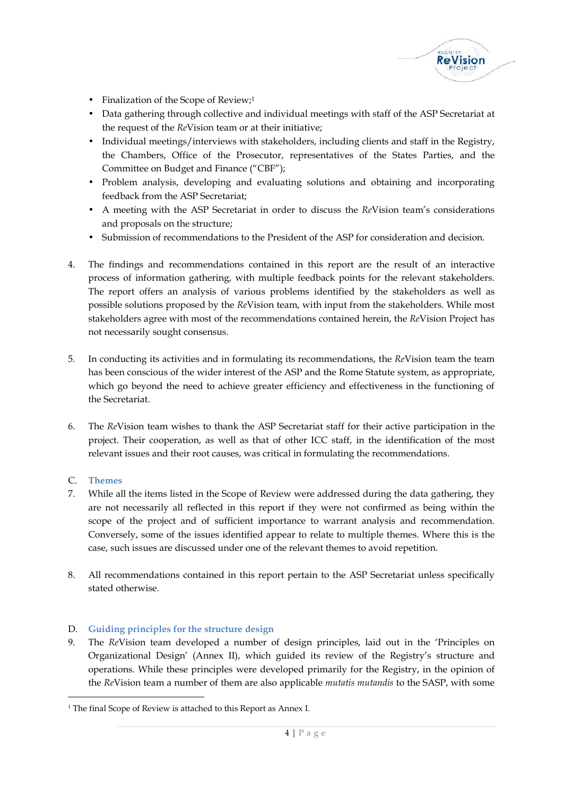

- Finalization of the Scope of Review;<sup>1</sup>
- Data gathering through collective and individual meetings with staff of the ASP Secretariat at the request of the *Re*Vision team or at their initiative;
- Individual meetings/interviews with stakeholders, including clients and staff in the Registry, the Chambers, Office of the Prosecutor, representatives of the States Parties, and the Committee on Budget and Finance ("CBF");
- Problem analysis, developing and evaluating solutions and obtaining and incorporating feedback from the ASP Secretariat;
- A meeting with the ASP Secretariat in order to discuss the *Re*Vision team's considerations and proposals on the structure;
- Submission of recommendations to the President of the ASP for consideration and decision.
- 4. The findings and recommendations contained in this report are the result of an interactive process of information gathering, with multiple feedback points for the relevant stakeholders. The report offers an analysis of various problems identified by the stakeholders as well as possible solutions proposed by the *Re*Vision team, with input from the stakeholders. While most stakeholders agree with most of the recommendations contained herein, the *Re*Vision Project has not necessarily sought consensus.
- 5. In conducting its activities and in formulating its recommendations, the *Re*Vision team the team has been conscious of the wider interest of the ASP and the Rome Statute system, as appropriate, which go beyond the need to achieve greater efficiency and effectiveness in the functioning of the Secretariat.
- 6. The *Re*Vision team wishes to thank the ASP Secretariat staff for their active participation in the project. Their cooperation, as well as that of other ICC staff, in the identification of the most relevant issues and their root causes, was critical in formulating the recommendations.

# C. **Themes**

- 7. While all the items listed in the Scope of Review were addressed during the data gathering, they are not necessarily all reflected in this report if they were not confirmed as being within the scope of the project and of sufficient importance to warrant analysis and recommendation. Conversely, some of the issues identified appear to relate to multiple themes. Where this is the case, such issues are discussed under one of the relevant themes to avoid repetition.
- 8. All recommendations contained in this report pertain to the ASP Secretariat unless specifically stated otherwise.

# D. **Guiding principles for the structure design**

pplicable *mutatis mutandis*<br>nnex I.<br>4 | P a g e 9. The *Re*Vision team developed a number of design principles, laid out in the 'Principles on Organizational Design' (Annex II), which guided its review of the Registry's structure and operations. While these principles were developed primarily for the Registry, in the opinion of the *Re*Vision team a number of them are also applicable *mutatis mutandis* to the SASP, with some

<sup>&</sup>lt;sup>1</sup> The final Scope of Review is attached to this Report as Annex I.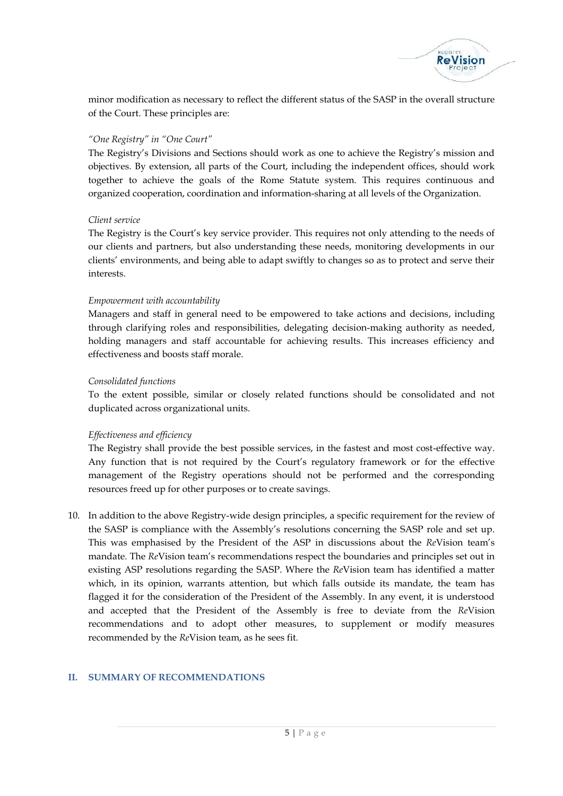

minor modification as necessary to reflect the different status of the SASP in the overall structure of the Court. These principles are:

# *"One Registry" in "One Court"*

The Registry's Divisions and Sections should work as one to achieve the Registry's mission and objectives. By extension, all parts of the Court, including the independent offices, should work together to achieve the goals of the Rome Statute system. This requires continuous and organized cooperation, coordination and information-sharing at all levels of the Organization.

# *Client service*

The Registry is the Court's key service provider. This requires not only attending to the needs of our clients and partners, but also understanding these needs, monitoring developments in our clients' environments, and being able to adapt swiftly to changes so as to protect and serve their interests.

# *Empowerment with accountability*

Managers and staff in general need to be empowered to take actions and decisions, including through clarifying roles and responsibilities, delegating decision-making authority as needed, holding managers and staff accountable for achieving results. This increases efficiency and effectiveness and boosts staff morale.

# *Consolidated functions*

To the extent possible, similar or closely related functions should be consolidated and not duplicated across organizational units.

# *Effectiveness and efficiency*

The Registry shall provide the best possible services, in the fastest and most cost-effective way. Any function that is not required by the Court's regulatory framework or for the effective management of the Registry operations should not be performed and the corresponding resources freed up for other purposes or to create savings.

10. In addition to the above Registry-wide design principles, a specific requirement for the review of the SASP is compliance with the Assembly's resolutions concerning the SASP role and set up. This was emphasised by the President of the ASP in discussions about the *Re*Vision team's mandate. The *Re*Vision team's recommendations respect the boundaries and principles set out in existing ASP resolutions regarding the SASP. Where the *Re*Vision team has identified a matter which, in its opinion, warrants attention, but which falls outside its mandate, the team has flagged it for the consideration of the President of the Assembly. In any event, it is understood and accepted that the President of the Assembly is free to deviate from the *Re*Vision recommendations and to adopt other measures, to supplement or modify measures recommended by the *Re*Vision team, as he sees fit.

# **II. SUMMARY OF RECOMMENDATIONS**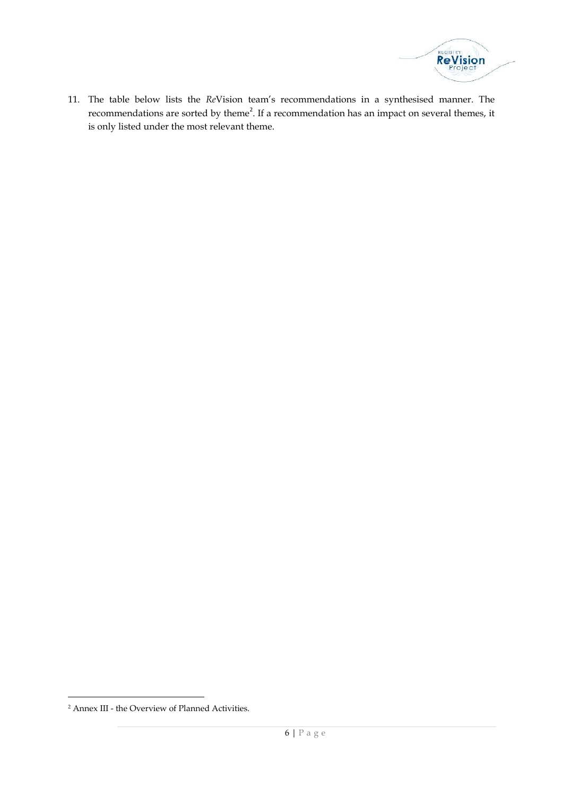

11. The table below lists the *Re*Vision team's recommendations in a synthesised manner. The recommendations are sorted by theme<sup>2</sup>. If a recommendation has an impact on several themes, it is only listed under the most relevant theme.

<sup>&</sup>lt;sup>2</sup> Annex III - the Overview of Planned Activities.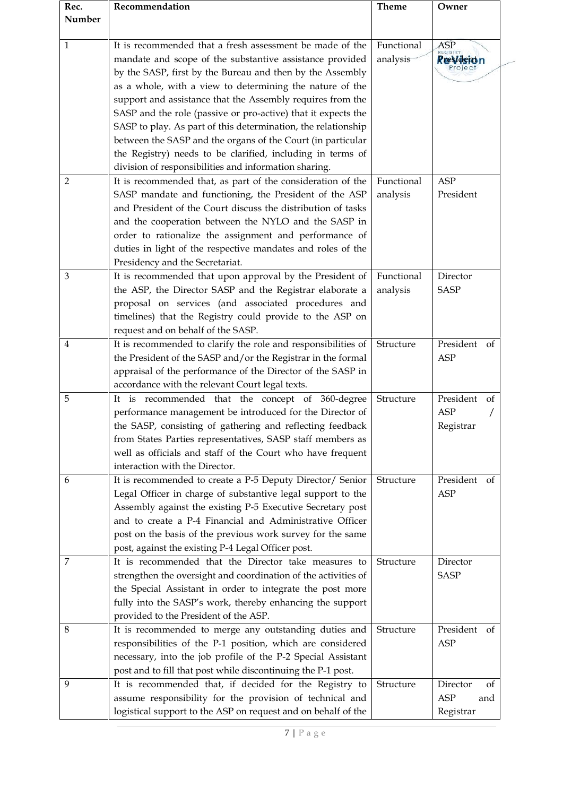| Rec.<br>Number | Recommendation                                                                                                                                                                                                                                                                                                                                                                                                                                                                                                                                                                                                                      | <b>Theme</b>           | Owner                                            |
|----------------|-------------------------------------------------------------------------------------------------------------------------------------------------------------------------------------------------------------------------------------------------------------------------------------------------------------------------------------------------------------------------------------------------------------------------------------------------------------------------------------------------------------------------------------------------------------------------------------------------------------------------------------|------------------------|--------------------------------------------------|
| 1              | It is recommended that a fresh assessment be made of the<br>mandate and scope of the substantive assistance provided<br>by the SASP, first by the Bureau and then by the Assembly<br>as a whole, with a view to determining the nature of the<br>support and assistance that the Assembly requires from the<br>SASP and the role (passive or pro-active) that it expects the<br>SASP to play. As part of this determination, the relationship<br>between the SASP and the organs of the Court (in particular<br>the Registry) needs to be clarified, including in terms of<br>division of responsibilities and information sharing. | Functional<br>analysis | ASP<br><b>Ræsíderon</b><br>Projec                |
| 2              | It is recommended that, as part of the consideration of the<br>SASP mandate and functioning, the President of the ASP<br>and President of the Court discuss the distribution of tasks<br>and the cooperation between the NYLO and the SASP in<br>order to rationalize the assignment and performance of<br>duties in light of the respective mandates and roles of the<br>Presidency and the Secretariat.                                                                                                                                                                                                                           | Functional<br>analysis | <b>ASP</b><br>President                          |
| 3              | It is recommended that upon approval by the President of<br>the ASP, the Director SASP and the Registrar elaborate a<br>proposal on services (and associated procedures and<br>timelines) that the Registry could provide to the ASP on<br>request and on behalf of the SASP.                                                                                                                                                                                                                                                                                                                                                       | Functional<br>analysis | Director<br><b>SASP</b>                          |
| 4              | It is recommended to clarify the role and responsibilities of<br>the President of the SASP and/or the Registrar in the formal<br>appraisal of the performance of the Director of the SASP in<br>accordance with the relevant Court legal texts.                                                                                                                                                                                                                                                                                                                                                                                     | Structure              | President<br>of<br><b>ASP</b>                    |
| 5              | It is recommended that the concept of 360-degree<br>performance management be introduced for the Director of<br>the SASP, consisting of gathering and reflecting feedback<br>from States Parties representatives, SASP staff members as<br>well as officials and staff of the Court who have frequent<br>interaction with the Director.                                                                                                                                                                                                                                                                                             | Structure              | President<br>of<br><b>ASP</b><br>Registrar       |
| 6              | It is recommended to create a P-5 Deputy Director/ Senior<br>Legal Officer in charge of substantive legal support to the<br>Assembly against the existing P-5 Executive Secretary post<br>and to create a P-4 Financial and Administrative Officer<br>post on the basis of the previous work survey for the same<br>post, against the existing P-4 Legal Officer post.                                                                                                                                                                                                                                                              | Structure              | President<br>of<br><b>ASP</b>                    |
| 7              | It is recommended that the Director take measures to<br>strengthen the oversight and coordination of the activities of<br>the Special Assistant in order to integrate the post more<br>fully into the SASP's work, thereby enhancing the support<br>provided to the President of the ASP.                                                                                                                                                                                                                                                                                                                                           | Structure              | Director<br><b>SASP</b>                          |
| 8              | It is recommended to merge any outstanding duties and<br>responsibilities of the P-1 position, which are considered<br>necessary, into the job profile of the P-2 Special Assistant<br>post and to fill that post while discontinuing the P-1 post.                                                                                                                                                                                                                                                                                                                                                                                 | Structure              | President of<br>ASP                              |
| 9              | It is recommended that, if decided for the Registry to<br>assume responsibility for the provision of technical and<br>logistical support to the ASP on request and on behalf of the                                                                                                                                                                                                                                                                                                                                                                                                                                                 | Structure              | Director<br>of<br><b>ASP</b><br>and<br>Registrar |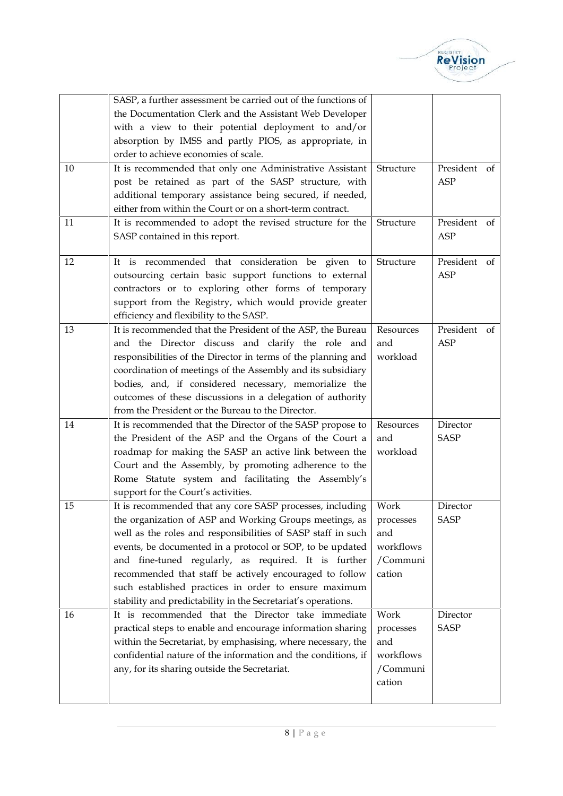

|    | SASP, a further assessment be carried out of the functions of |           |                            |
|----|---------------------------------------------------------------|-----------|----------------------------|
|    | the Documentation Clerk and the Assistant Web Developer       |           |                            |
|    | with a view to their potential deployment to and/or           |           |                            |
|    | absorption by IMSS and partly PIOS, as appropriate, in        |           |                            |
|    | order to achieve economies of scale.                          |           |                            |
| 10 | It is recommended that only one Administrative Assistant      | Structure | President<br>of            |
|    | post be retained as part of the SASP structure, with          |           | <b>ASP</b>                 |
|    | additional temporary assistance being secured, if needed,     |           |                            |
|    | either from within the Court or on a short-term contract.     |           |                            |
| 11 | It is recommended to adopt the revised structure for the      | Structure | President<br>of            |
|    | SASP contained in this report.                                |           | ASP                        |
|    |                                                               |           |                            |
| 12 | is recommended that consideration be given to<br>It.          | Structure | President<br>of            |
|    | outsourcing certain basic support functions to external       |           | ASP                        |
|    | contractors or to exploring other forms of temporary          |           |                            |
|    | support from the Registry, which would provide greater        |           |                            |
|    | efficiency and flexibility to the SASP.                       |           |                            |
| 13 | It is recommended that the President of the ASP, the Bureau   | Resources | President<br><sub>of</sub> |
|    | and the Director discuss and clarify the role and             | and       | ASP                        |
|    | responsibilities of the Director in terms of the planning and | workload  |                            |
|    | coordination of meetings of the Assembly and its subsidiary   |           |                            |
|    | bodies, and, if considered necessary, memorialize the         |           |                            |
|    | outcomes of these discussions in a delegation of authority    |           |                            |
|    | from the President or the Bureau to the Director.             |           |                            |
| 14 | It is recommended that the Director of the SASP propose to    | Resources | Director                   |
|    | the President of the ASP and the Organs of the Court a        | and       | <b>SASP</b>                |
|    | roadmap for making the SASP an active link between the        | workload  |                            |
|    | Court and the Assembly, by promoting adherence to the         |           |                            |
|    | Rome Statute system and facilitating the Assembly's           |           |                            |
|    | support for the Court's activities.                           |           |                            |
| 15 | It is recommended that any core SASP processes, including     | Work      | Director                   |
|    | the organization of ASP and Working Groups meetings, as       | processes | <b>SASP</b>                |
|    | well as the roles and responsibilities of SASP staff in such  | and       |                            |
|    | events, be documented in a protocol or SOP, to be updated     | workflows |                            |
|    | and fine-tuned regularly, as required. It is further          | /Communi  |                            |
|    | recommended that staff be actively encouraged to follow       | cation    |                            |
|    | such established practices in order to ensure maximum         |           |                            |
|    | stability and predictability in the Secretariat's operations. |           |                            |
| 16 | It is recommended that the Director take immediate            | Work      | Director                   |
|    | practical steps to enable and encourage information sharing   | processes | <b>SASP</b>                |
|    | within the Secretariat, by emphasising, where necessary, the  | and       |                            |
|    | confidential nature of the information and the conditions, if | workflows |                            |
|    | any, for its sharing outside the Secretariat.                 | /Communi  |                            |
|    |                                                               | cation    |                            |
|    |                                                               |           |                            |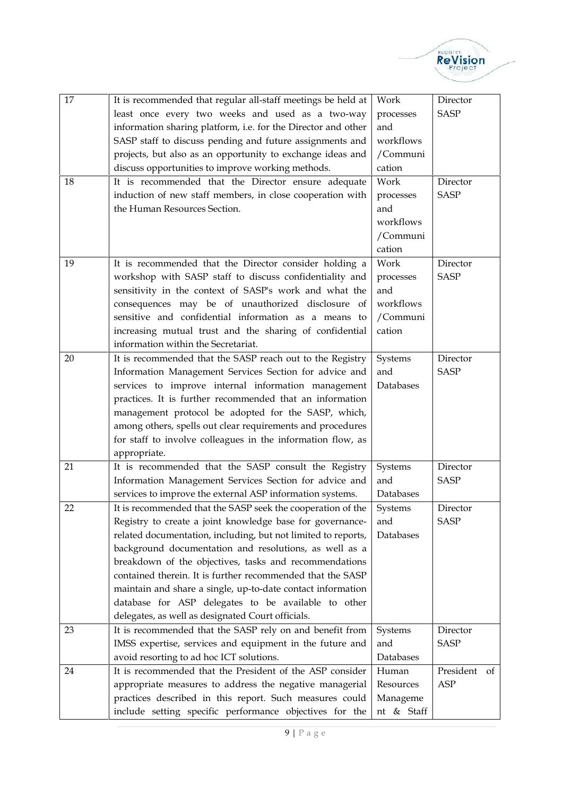

| 17<br>18 | It is recommended that regular all-staff meetings be held at<br>least once every two weeks and used as a two-way<br>information sharing platform, i.e. for the Director and other<br>SASP staff to discuss pending and future assignments and<br>projects, but also as an opportunity to exchange ideas and<br>discuss opportunities to improve working methods.<br>It is recommended that the Director ensure adequate<br>induction of new staff members, in close cooperation with<br>the Human Resources Section.                                                                                                                                                                                                                  | Work<br>processes<br>and<br>workflows<br>/Communi<br>cation<br>Work<br>processes<br>and<br>workflows<br>/Communi | Director<br><b>SASP</b><br>Director<br><b>SASP</b> |
|----------|---------------------------------------------------------------------------------------------------------------------------------------------------------------------------------------------------------------------------------------------------------------------------------------------------------------------------------------------------------------------------------------------------------------------------------------------------------------------------------------------------------------------------------------------------------------------------------------------------------------------------------------------------------------------------------------------------------------------------------------|------------------------------------------------------------------------------------------------------------------|----------------------------------------------------|
| 19       | It is recommended that the Director consider holding a<br>workshop with SASP staff to discuss confidentiality and<br>sensitivity in the context of SASP's work and what the<br>consequences may be of unauthorized disclosure of<br>sensitive and confidential information as a means to<br>increasing mutual trust and the sharing of confidential<br>information within the Secretariat.                                                                                                                                                                                                                                                                                                                                            | cation<br>Work<br>processes<br>and<br>workflows<br>/Communi<br>cation                                            | Director<br><b>SASP</b>                            |
| 20       | It is recommended that the SASP reach out to the Registry<br>Information Management Services Section for advice and<br>services to improve internal information management<br>practices. It is further recommended that an information<br>management protocol be adopted for the SASP, which,<br>among others, spells out clear requirements and procedures<br>for staff to involve colleagues in the information flow, as<br>appropriate.                                                                                                                                                                                                                                                                                            | Systems<br>and<br>Databases                                                                                      | Director<br><b>SASP</b>                            |
| 21<br>22 | It is recommended that the SASP consult the Registry<br>Information Management Services Section for advice and<br>services to improve the external ASP information systems.<br>It is recommended that the SASP seek the cooperation of the<br>Registry to create a joint knowledge base for governance-<br>related documentation, including, but not limited to reports,<br>background documentation and resolutions, as well as a<br>breakdown of the objectives, tasks and recommendations<br>contained therein. It is further recommended that the SASP<br>maintain and share a single, up-to-date contact information<br>database for ASP delegates to be available to other<br>delegates, as well as designated Court officials. | Systems<br>and<br>Databases<br>Systems<br>and<br>Databases                                                       | Director<br><b>SASP</b><br>Director<br><b>SASP</b> |
| 23       | It is recommended that the SASP rely on and benefit from<br>IMSS expertise, services and equipment in the future and<br>avoid resorting to ad hoc ICT solutions.                                                                                                                                                                                                                                                                                                                                                                                                                                                                                                                                                                      | Systems<br>and<br>Databases                                                                                      | Director<br><b>SASP</b>                            |
| 24       | It is recommended that the President of the ASP consider<br>appropriate measures to address the negative managerial<br>practices described in this report. Such measures could<br>include setting specific performance objectives for the                                                                                                                                                                                                                                                                                                                                                                                                                                                                                             | Human<br>Resources<br>Manageme<br>nt & Staff                                                                     | President<br>of<br><b>ASP</b>                      |
|          | 9   P a g e                                                                                                                                                                                                                                                                                                                                                                                                                                                                                                                                                                                                                                                                                                                           |                                                                                                                  |                                                    |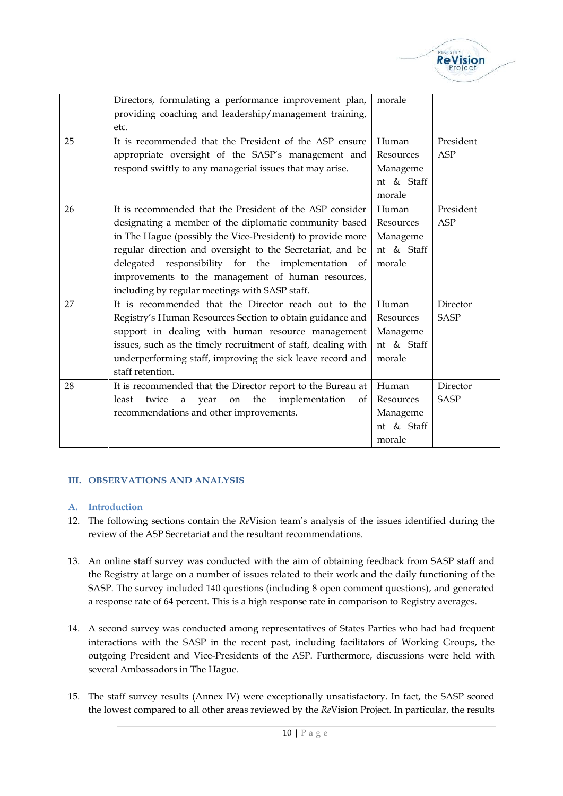

|    | Directors, formulating a performance improvement plan,<br>providing coaching and leadership/management training,<br>etc.                                                                                                                                                                                                                                                                                     | morale                                                 |                         |
|----|--------------------------------------------------------------------------------------------------------------------------------------------------------------------------------------------------------------------------------------------------------------------------------------------------------------------------------------------------------------------------------------------------------------|--------------------------------------------------------|-------------------------|
| 25 | It is recommended that the President of the ASP ensure<br>appropriate oversight of the SASP's management and<br>respond swiftly to any managerial issues that may arise.                                                                                                                                                                                                                                     | Human<br>Resources<br>Manageme<br>nt & Staff<br>morale | President<br>ASP        |
| 26 | It is recommended that the President of the ASP consider<br>designating a member of the diplomatic community based<br>in The Hague (possibly the Vice-President) to provide more<br>regular direction and oversight to the Secretariat, and be<br>delegated responsibility for the implementation of<br>improvements to the management of human resources,<br>including by regular meetings with SASP staff. | Human<br>Resources<br>Manageme<br>nt & Staff<br>morale | President<br><b>ASP</b> |
| 27 | It is recommended that the Director reach out to the<br>Registry's Human Resources Section to obtain guidance and<br>support in dealing with human resource management<br>issues, such as the timely recruitment of staff, dealing with<br>underperforming staff, improving the sick leave record and<br>staff retention.                                                                                    | Human<br>Resources<br>Manageme<br>nt & Staff<br>morale | Director<br><b>SASP</b> |
| 28 | It is recommended that the Director report to the Bureau at<br>least<br>twice<br>the<br>implementation<br>year<br>a<br>on<br>of<br>recommendations and other improvements.                                                                                                                                                                                                                                   | Human<br>Resources<br>Manageme<br>nt & Staff<br>morale | Director<br><b>SASP</b> |

# **III. OBSERVATIONS AND ANALYSIS**

#### **A. Introduction**

- 12. The following sections contain the *Re*Vision team's analysis of the issues identified during the review of the ASP Secretariat and the resultant recommendations.
- 13. An online staff survey was conducted with the aim of obtaining feedback from SASP staff and the Registry at large on a number of issues related to their work and the daily functioning of the SASP. The survey included 140 questions (including 8 open comment questions), and generated a response rate of 64 percent. This is a high response rate in comparison to Registry averages.
- 14. A second survey was conducted among representatives of States Parties who had had frequent interactions with the SASP in the recent past, including facilitators of Working Groups, the outgoing President and Vice-Presidents of the ASP. Furthermore, discussions were held with several Ambassadors in The Hague.
- eptionally unsatisfactory. I<br>d by the *Re*Vision Project.<br>10 | P a g e 15. The staff survey results (Annex IV) were exceptionally unsatisfactory. In fact, the SASP scored the lowest compared to all other areas reviewed by the *Re*Vision Project. In particular, the results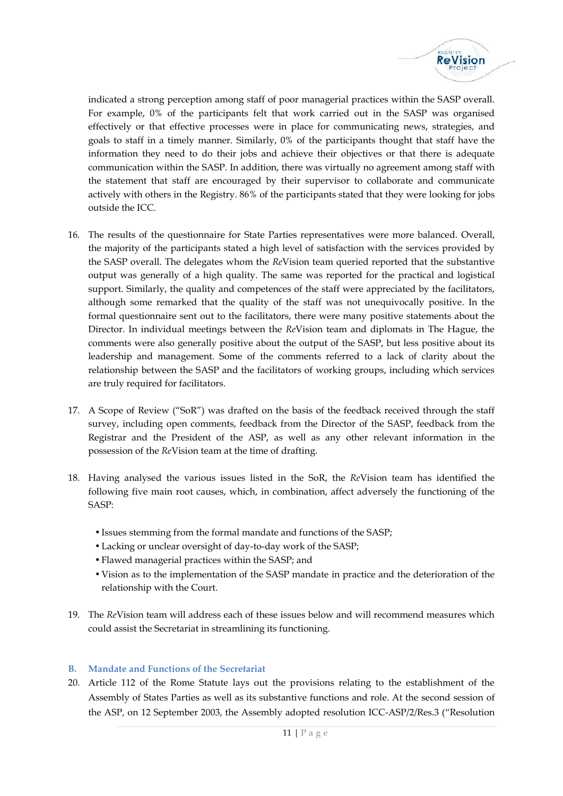

indicated a strong perception among staff of poor managerial practices within the SASP overall. For example, 0% of the participants felt that work carried out in the SASP was organised effectively or that effective processes were in place for communicating news, strategies, and goals to staff in a timely manner. Similarly, 0% of the participants thought that staff have the information they need to do their jobs and achieve their objectives or that there is adequate communication within the SASP. In addition, there was virtually no agreement among staff with the statement that staff are encouraged by their supervisor to collaborate and communicate actively with others in the Registry. 86% of the participants stated that they were looking for jobs outside the ICC.

- 16. The results of the questionnaire for State Parties representatives were more balanced. Overall, the majority of the participants stated a high level of satisfaction with the services provided by the SASP overall. The delegates whom the *Re*Vision team queried reported that the substantive output was generally of a high quality. The same was reported for the practical and logistical support. Similarly, the quality and competences of the staff were appreciated by the facilitators, although some remarked that the quality of the staff was not unequivocally positive. In the formal questionnaire sent out to the facilitators, there were many positive statements about the Director. In individual meetings between the *Re*Vision team and diplomats in The Hague, the comments were also generally positive about the output of the SASP, but less positive about its leadership and management. Some of the comments referred to a lack of clarity about the relationship between the SASP and the facilitators of working groups, including which services are truly required for facilitators.
- 17. A Scope of Review ("SoR") was drafted on the basis of the feedback received through the staff survey, including open comments, feedback from the Director of the SASP, feedback from the Registrar and the President of the ASP, as well as any other relevant information in the possession of the *Re*Vision team at the time of drafting.
- 18. Having analysed the various issues listed in the SoR, the *Re*Vision team has identified the following five main root causes, which, in combination, affect adversely the functioning of the SASP:
	- Issues stemming from the formal mandate and functions of the SASP;
	- Lacking or unclear oversight of day-to-day work of the SASP;
	- Flawed managerial practices within the SASP; and
	- Vision as to the implementation of the SASP mandate in practice and the deterioration of the relationship with the Court.
- 19. The *Re*Vision team will address each of these issues below and will recommend measures which could assist the Secretariat in streamlining its functioning.

#### **B. Mandate and Functions of the Secretariat**

Exproves<br>the functions and role. A adopted resolution ICC-A<br>11 | P a g e 20. Article 112 of the Rome Statute lays out the provisions relating to the establishment of the Assembly of States Parties as well as its substantive functions and role. At the second session of the ASP, on 12 September 2003, the Assembly adopted resolution ICC-ASP/2/Res.3 ("Resolution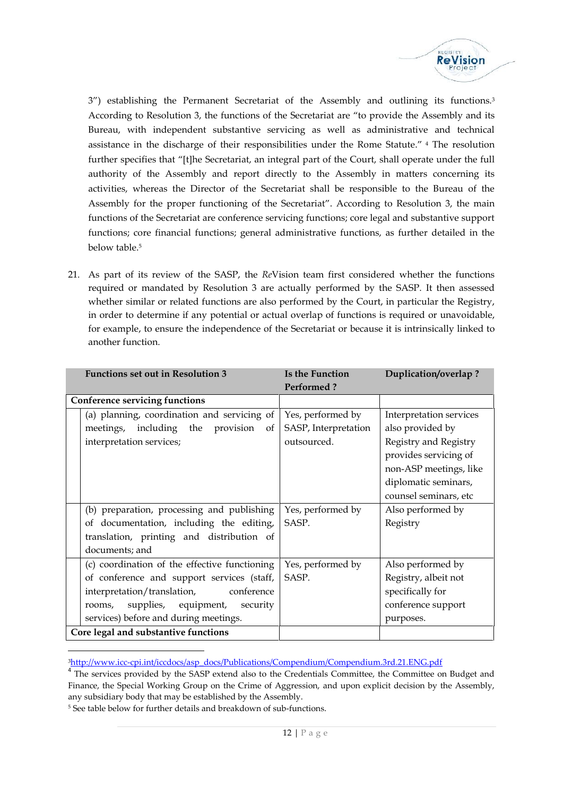

3") establishing the Permanent Secretariat of the Assembly and outlining its functions.<sup>3</sup> According to Resolution 3, the functions of the Secretariat are "to provide the Assembly and its Bureau, with independent substantive servicing as well as administrative and technical assistance in the discharge of their responsibilities under the Rome Statute." <sup>4</sup> The resolution further specifies that "[t]he Secretariat, an integral part of the Court, shall operate under the full authority of the Assembly and report directly to the Assembly in matters concerning its activities, whereas the Director of the Secretariat shall be responsible to the Bureau of the Assembly for the proper functioning of the Secretariat". According to Resolution 3, the main functions of the Secretariat are conference servicing functions; core legal and substantive support functions; core financial functions; general administrative functions, as further detailed in the below table.<sup>5</sup>

21. As part of its review of the SASP, the *Re*Vision team first considered whether the functions required or mandated by Resolution 3 are actually performed by the SASP. It then assessed whether similar or related functions are also performed by the Court, in particular the Registry, in order to determine if any potential or actual overlap of functions is required or unavoidable, for example, to ensure the independence of the Secretariat or because it is intrinsically linked to another function.

| <b>Functions set out in Resolution 3</b>           | Is the Function      | Duplication/overlap?    |
|----------------------------------------------------|----------------------|-------------------------|
|                                                    | <b>Performed?</b>    |                         |
| <b>Conference servicing functions</b>              |                      |                         |
| (a) planning, coordination and servicing of        | Yes, performed by    | Interpretation services |
| meetings, including the provision<br><sub>of</sub> | SASP, Interpretation | also provided by        |
| interpretation services;                           | outsourced.          | Registry and Registry   |
|                                                    |                      | provides servicing of   |
|                                                    |                      | non-ASP meetings, like  |
|                                                    |                      | diplomatic seminars,    |
|                                                    |                      | counsel seminars, etc   |
| (b) preparation, processing and publishing         | Yes, performed by    | Also performed by       |
| of documentation, including the editing,           | SASP.                | Registry                |
| translation, printing and distribution of          |                      |                         |
| documents; and                                     |                      |                         |
| (c) coordination of the effective functioning      | Yes, performed by    | Also performed by       |
| of conference and support services (staff,         | SASP.                | Registry, albeit not    |
| interpretation/translation,<br>conference          |                      | specifically for        |
| supplies, equipment, security<br>rooms,            |                      | conference support      |
| services) before and during meetings.              |                      | purposes.               |
| Core legal and substantive functions               |                      |                         |

<sup>3</sup>http://www.icc-cpi.int/iccdocs/asp\_docs/Publications/Compendium/Compendium.3rd.21.ENG.pdf

Finance, the Special Working Group on the Crime of Aggression, and upon explicit decision by the Assembly, any subsidiary body that may be established by the Assembly.<br>  $5$  See table below for further details and breakdow <sup>4</sup> The services provided by the SASP extend also to the Credentials Committee, the Committee on Budget and any subsidiary body that may be established by the Assembly.

<sup>&</sup>lt;sup>5</sup> See table below for further details and breakdown of sub-functions.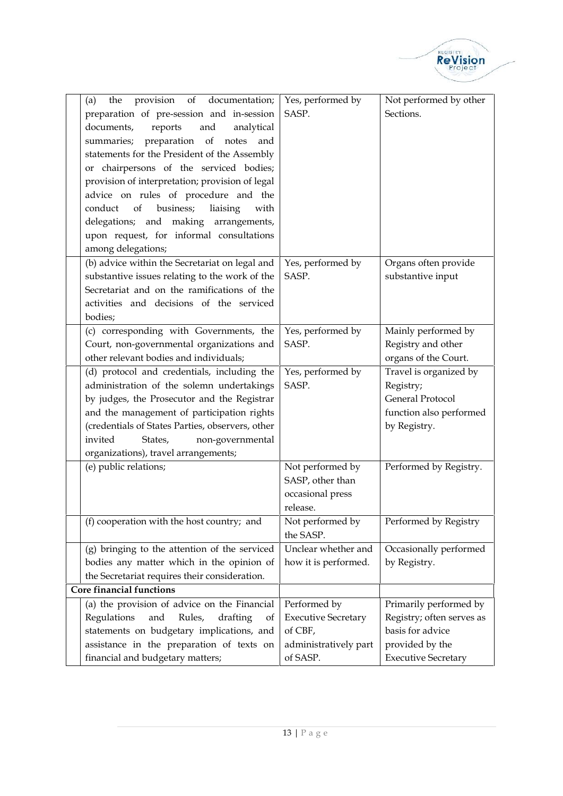

| provision of documentation;<br>the<br>(a)<br>preparation of pre-session and in-session<br>documents,<br>reports<br>and<br>analytical<br>summaries; preparation of notes and<br>statements for the President of the Assembly<br>or chairpersons of the serviced bodies;<br>provision of interpretation; provision of legal<br>advice on rules of procedure and the<br>of<br>business;<br>conduct<br>liaising<br>with<br>delegations; and making arrangements,<br>upon request, for informal consultations<br>among delegations; | Yes, performed by<br>SASP.                                                     | Not performed by other<br>Sections.                                                                       |
|--------------------------------------------------------------------------------------------------------------------------------------------------------------------------------------------------------------------------------------------------------------------------------------------------------------------------------------------------------------------------------------------------------------------------------------------------------------------------------------------------------------------------------|--------------------------------------------------------------------------------|-----------------------------------------------------------------------------------------------------------|
| (b) advice within the Secretariat on legal and<br>substantive issues relating to the work of the<br>Secretariat and on the ramifications of the<br>activities and decisions of the serviced<br>bodies;                                                                                                                                                                                                                                                                                                                         | Yes, performed by<br>SASP.                                                     | Organs often provide<br>substantive input                                                                 |
| (c) corresponding with Governments, the<br>Court, non-governmental organizations and<br>other relevant bodies and individuals;                                                                                                                                                                                                                                                                                                                                                                                                 | Yes, performed by<br>SASP.                                                     | Mainly performed by<br>Registry and other<br>organs of the Court.                                         |
| (d) protocol and credentials, including the<br>administration of the solemn undertakings<br>by judges, the Prosecutor and the Registrar<br>and the management of participation rights<br>(credentials of States Parties, observers, other<br>invited<br>non-governmental<br>States,<br>organizations), travel arrangements;                                                                                                                                                                                                    | Yes, performed by<br>SASP.                                                     | Travel is organized by<br>Registry;<br><b>General Protocol</b><br>function also performed<br>by Registry. |
| (e) public relations;                                                                                                                                                                                                                                                                                                                                                                                                                                                                                                          | Not performed by<br>SASP, other than<br>occasional press<br>release.           | Performed by Registry.                                                                                    |
| (f) cooperation with the host country; and                                                                                                                                                                                                                                                                                                                                                                                                                                                                                     | Not performed by<br>the SASP.                                                  | Performed by Registry                                                                                     |
| (g) bringing to the attention of the serviced<br>bodies any matter which in the opinion of<br>the Secretariat requires their consideration.                                                                                                                                                                                                                                                                                                                                                                                    | Unclear whether and<br>how it is performed.                                    | Occasionally performed<br>by Registry.                                                                    |
| Core financial functions                                                                                                                                                                                                                                                                                                                                                                                                                                                                                                       |                                                                                |                                                                                                           |
| (a) the provision of advice on the Financial<br>Regulations<br>and<br>Rules,<br>drafting<br>of<br>statements on budgetary implications, and<br>assistance in the preparation of texts on                                                                                                                                                                                                                                                                                                                                       | Performed by<br><b>Executive Secretary</b><br>of CBF,<br>administratively part | Primarily performed by<br>Registry; often serves as<br>basis for advice<br>provided by the                |
| financial and budgetary matters;                                                                                                                                                                                                                                                                                                                                                                                                                                                                                               | of SASP.                                                                       | <b>Executive Secretary</b>                                                                                |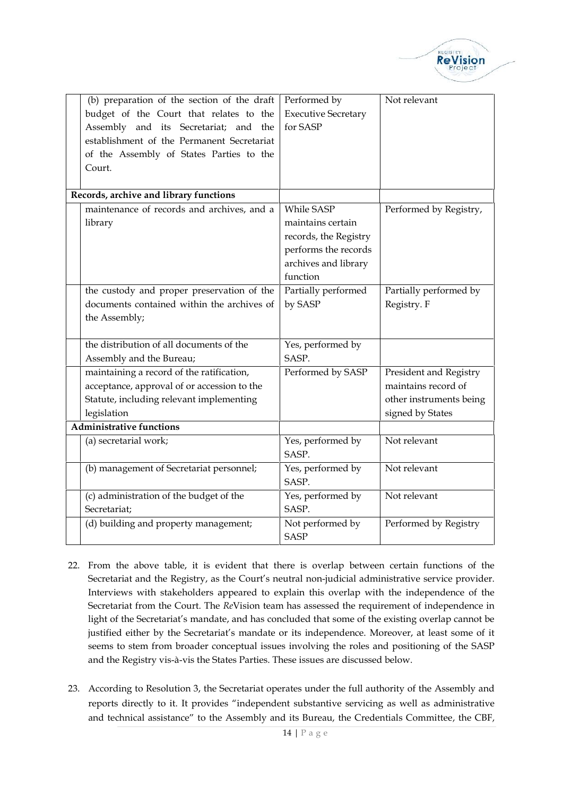

| (b) preparation of the section of the draft | Performed by               | Not relevant            |
|---------------------------------------------|----------------------------|-------------------------|
| budget of the Court that relates to the     | <b>Executive Secretary</b> |                         |
| Assembly and its Secretariat; and the       | for SASP                   |                         |
| establishment of the Permanent Secretariat  |                            |                         |
| of the Assembly of States Parties to the    |                            |                         |
| Court.                                      |                            |                         |
|                                             |                            |                         |
| Records, archive and library functions      |                            |                         |
| maintenance of records and archives, and a  | While SASP                 | Performed by Registry,  |
| library                                     | maintains certain          |                         |
|                                             | records, the Registry      |                         |
|                                             | performs the records       |                         |
|                                             | archives and library       |                         |
|                                             | function                   |                         |
| the custody and proper preservation of the  | Partially performed        | Partially performed by  |
| documents contained within the archives of  | by SASP                    | Registry. F             |
| the Assembly;                               |                            |                         |
|                                             |                            |                         |
| the distribution of all documents of the    | Yes, performed by          |                         |
| Assembly and the Bureau;                    | SASP.                      |                         |
| maintaining a record of the ratification,   | Performed by SASP          | President and Registry  |
| acceptance, approval of or accession to the |                            | maintains record of     |
| Statute, including relevant implementing    |                            | other instruments being |
| legislation                                 |                            | signed by States        |
| <b>Administrative functions</b>             |                            |                         |
| (a) secretarial work;                       | Yes, performed by          | Not relevant            |
|                                             | SASP.                      |                         |
| (b) management of Secretariat personnel;    | Yes, performed by          | Not relevant            |
|                                             | SASP.                      |                         |
| (c) administration of the budget of the     | Yes, performed by          | Not relevant            |
| Secretariat;                                | SASP.                      |                         |
| (d) building and property management;       | Not performed by           | Performed by Registry   |
|                                             | <b>SASP</b>                |                         |

- 22. From the above table, it is evident that there is overlap between certain functions of the Secretariat and the Registry, as the Court's neutral non-judicial administrative service provider. Interviews with stakeholders appeared to explain this overlap with the independence of the Secretariat from the Court. The *Re*Vision team has assessed the requirement of independence in light of the Secretariat's mandate, and has concluded that some of the existing overlap cannot be justified either by the Secretariat's mandate or its independence. Moreover, at least some of it seems to stem from broader conceptual issues involving the roles and positioning of the SASP and the Registry vis-à-vis the States Parties. These issues are discussed below.
- rates under the full author<br>nt substantive servicing as<br>d its Bureau, the Credentia<br>14 | P a g e 23. According to Resolution 3, the Secretariat operates under the full authority of the Assembly and reports directly to it. It provides "independent substantive servicing as well as administrative and technical assistance" to the Assembly and its Bureau, the Credentials Committee, the CBF,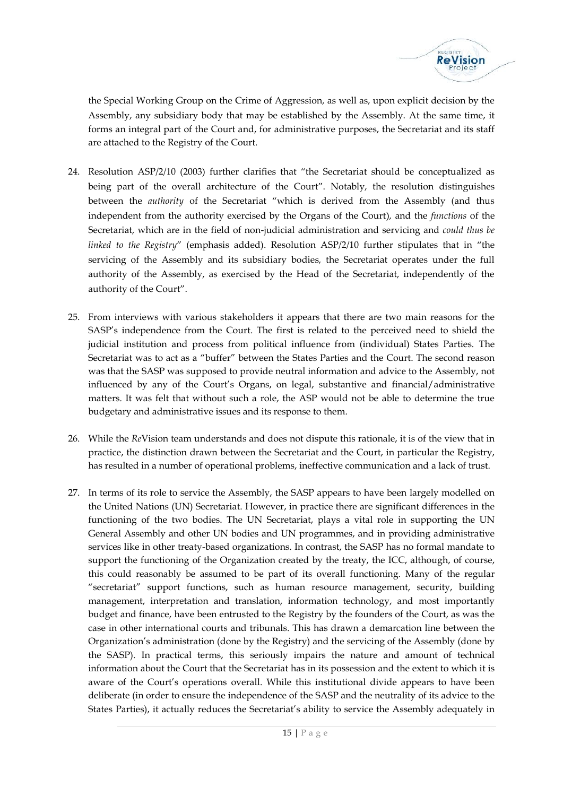

the Special Working Group on the Crime of Aggression, as well as, upon explicit decision by the Assembly, any subsidiary body that may be established by the Assembly. At the same time, it forms an integral part of the Court and, for administrative purposes, the Secretariat and its staff are attached to the Registry of the Court.

- 24. Resolution ASP/2/10 (2003) further clarifies that "the Secretariat should be conceptualized as being part of the overall architecture of the Court". Notably, the resolution distinguishes between the *authority* of the Secretariat "which is derived from the Assembly (and thus independent from the authority exercised by the Organs of the Court), and the *functions* of the Secretariat, which are in the field of non-judicial administration and servicing and *could thus be linked to the Registry*" (emphasis added). Resolution ASP/2/10 further stipulates that in "the servicing of the Assembly and its subsidiary bodies, the Secretariat operates under the full authority of the Assembly, as exercised by the Head of the Secretariat, independently of the authority of the Court".
- 25. From interviews with various stakeholders it appears that there are two main reasons for the SASP's independence from the Court. The first is related to the perceived need to shield the judicial institution and process from political influence from (individual) States Parties. The Secretariat was to act as a "buffer" between the States Parties and the Court. The second reason was that the SASP was supposed to provide neutral information and advice to the Assembly, not influenced by any of the Court's Organs, on legal, substantive and financial/administrative matters. It was felt that without such a role, the ASP would not be able to determine the true budgetary and administrative issues and its response to them.
- 26. While the *Re*Vision team understands and does not dispute this rationale, it is of the view that in practice, the distinction drawn between the Secretariat and the Court, in particular the Registry, has resulted in a number of operational problems, ineffective communication and a lack of trust.
- Example the SASP and the neutral of the SASP and the neutral of said  $\frac{1}{15}$  | P a g e 27. In terms of its role to service the Assembly, the SASP appears to have been largely modelled on the United Nations (UN) Secretariat. However, in practice there are significant differences in the functioning of the two bodies. The UN Secretariat, plays a vital role in supporting the UN General Assembly and other UN bodies and UN programmes, and in providing administrative services like in other treaty-based organizations. In contrast, the SASP has no formal mandate to support the functioning of the Organization created by the treaty, the ICC, although, of course, this could reasonably be assumed to be part of its overall functioning. Many of the regular "secretariat" support functions, such as human resource management, security, building management, interpretation and translation, information technology, and most importantly budget and finance, have been entrusted to the Registry by the founders of the Court, as was the case in other international courts and tribunals. This has drawn a demarcation line between the Organization's administration (done by the Registry) and the servicing of the Assembly (done by the SASP). In practical terms, this seriously impairs the nature and amount of technical information about the Court that the Secretariat has in its possession and the extent to which it is aware of the Court's operations overall. While this institutional divide appears to have been deliberate (in order to ensure the independence of the SASP and the neutrality of its advice to the States Parties), it actually reduces the Secretariat's ability to service the Assembly adequately in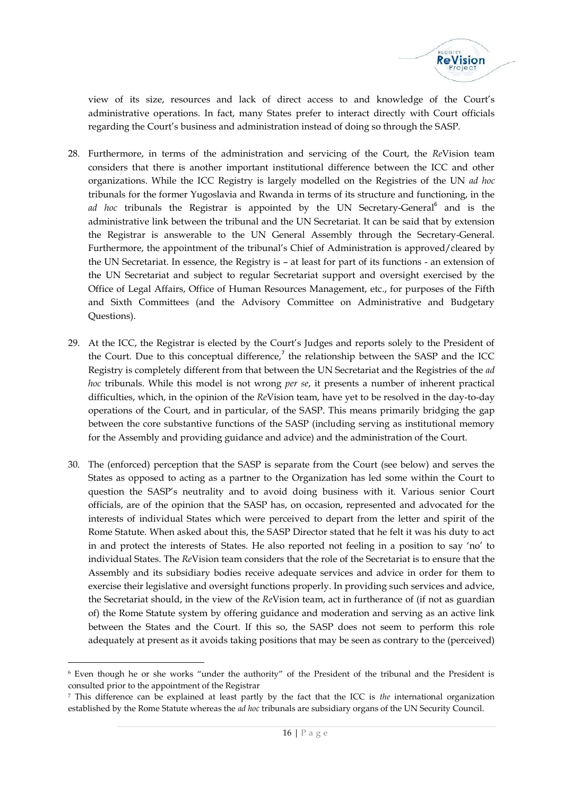

view of its size, resources and lack of direct access to and knowledge of the Court's administrative operations. In fact, many States prefer to interact directly with Court officials regarding the Court's business and administration instead of doing so through the SASP.

- 28. Furthermore, in terms of the administration and servicing of the Court, the *Re*Vision team considers that there is another important institutional difference between the ICC and other organizations. While the ICC Registry is largely modelled on the Registries of the UN *ad hoc* tribunals for the former Yugoslavia and Rwanda in terms of its structure and functioning, in the *ad hoc* tribunals the Registrar is appointed by the UN Secretary-General<sup>6</sup> and is the administrative link between the tribunal and the UN Secretariat. It can be said that by extension the Registrar is answerable to the UN General Assembly through the Secretary-General. Furthermore, the appointment of the tribunal's Chief of Administration is approved/cleared by the UN Secretariat. In essence, the Registry is – at least for part of its functions -an extension of the UN Secretariat and subject to regular Secretariat support and oversight exercised by the Office of Legal Affairs, Office of Human Resources Management, etc., for purposes of the Fifth and Sixth Committees (and the Advisory Committee on Administrative and Budgetary Questions).
- 29. At the ICC, the Registrar is elected by the Court's Judges and reports solely to the President of the Court. Due to this conceptual difference,<sup>7</sup> the relationship between the SASP and the ICC Registry is completely different from that between the UN Secretariat and the Registries of the *ad hoc* tribunals. While this model is not wrong *per se*, it presents a number of inherent practical difficulties, which, in the opinion of the *Re*Vision team, have yet to be resolved in the day-to-day operations of the Court, and in particular, of the SASP. This means primarily bridging the gap between the core substantive functions of the SASP (including serving as institutional memory for the Assembly and providing guidance and advice) and the administration of the Court.
- 30. The (enforced) perception that the SASP is separate from the Court (see below) and serves the States as opposed to acting as a partner to the Organization has led some within the Court to question the SASP's neutrality and to avoid doing business with it. Various senior Court officials, are of the opinion that the SASP has, on occasion, represented and advocated for the interests of individual States which were perceived to depart from the letter and spirit of the Rome Statute. When asked about this, the SASP Director stated that he felt it was his duty to act in and protect the interests of States. He also reported not feeling in a position to say 'no' to individual States. The *Re*Vision team considers that the role of the Secretariat is to ensure that the Assembly and its subsidiary bodies receive adequate services and advice in order for them to exercise their legislative and oversight functions properly. In providing such services and advice, the Secretariat should, in the view of the *Re*Vision team, act in furtherance of (if not as guardian of) the Rome Statute system by offering guidance and moderation and serving as an active link between the States and the Court. If this so, the SASP does not seem to perform this role adequately at present as it avoids taking positions that may be seen as contrary to the (perceived)

<sup>6</sup> Even though he or she works "under the authority" of the President of the tribunal and the President is consulted prior to the appointment of the Registrar

the fact that the ICC is *the*<br>
hals are subsidiary organs of the<br>
16 | P a g e <sup>7</sup> This difference can be explained at least partly by the fact that the ICC is *the* international organization established by the Rome Statute whereas the *ad hoc* tribunals are subsidiary organs of the UN Security Council.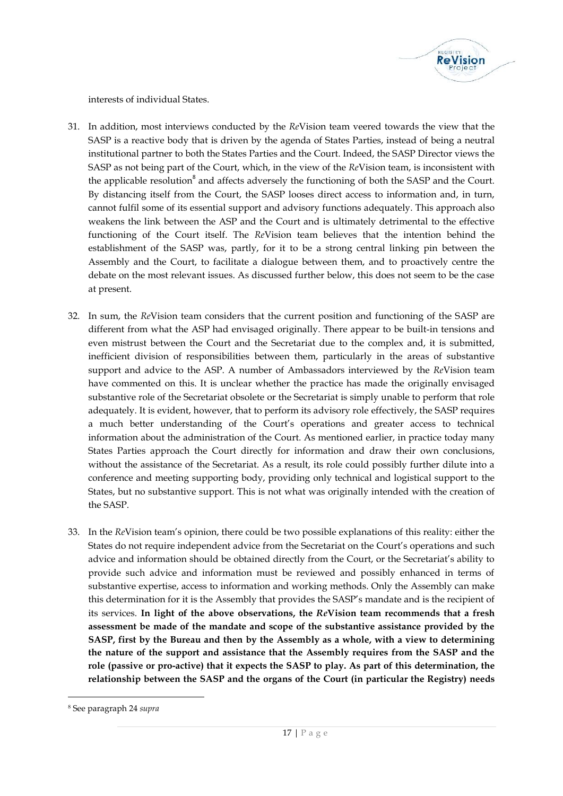

interests of individual States.

- 31. In addition, most interviews conducted by the *Re*Vision team veered towards the view that the SASP is a reactive body that is driven by the agenda of States Parties, instead of being a neutral institutional partner to both the States Parties and the Court. Indeed, the SASP Director views the SASP as not being part of the Court, which, in the view of the *Re*Vision team, is inconsistent with the applicable resolution<sup>8</sup> and affects adversely the functioning of both the SASP and the Court. By distancing itself from the Court, the SASP looses direct access to information and, in turn, cannot fulfil some of its essential support and advisory functions adequately. This approach also weakens the link between the ASP and the Court and is ultimately detrimental to the effective functioning of the Court itself. The *Re*Vision team believes that the intention behind the establishment of the SASP was, partly, for it to be a strong central linking pin between the Assembly and the Court, to facilitate a dialogue between them, and to proactively centre the debate on the most relevant issues. As discussed further below, this does not seem to be the case at present.
- 32. In sum, the *Re*Vision team considers that the current position and functioning of the SASP are different from what the ASP had envisaged originally. There appear to be built-in tensions and even mistrust between the Court and the Secretariat due to the complex and, it is submitted, inefficient division of responsibilities between them, particularly in the areas of substantive support and advice to the ASP. A number of Ambassadors interviewed by the *Re*Vision team have commented on this. It is unclear whether the practice has made the originally envisaged substantive role of the Secretariat obsolete or the Secretariat is simply unable to perform that role adequately. It is evident, however, that to perform its advisory role effectively, the SASP requires a much better understanding of the Court's operations and greater access to technical information about the administration of the Court. As mentioned earlier, in practice today many States Parties approach the Court directly for information and draw their own conclusions, without the assistance of the Secretariat. As a result, its role could possibly further dilute into a conference and meeting supporting body, providing only technical and logistical support to the States, but no substantive support. This is not what was originally intended with the creation of the SASP.
- 33. In the *Re*Vision team's opinion, there could be two possible explanations of this reality: either the States do not require independent advice from the Secretariat on the Court's operations and such advice and information should be obtained directly from the Court, or the Secretariat's ability to provide such advice and information must be reviewed and possibly enhanced in terms of substantive expertise, access to information and working methods. Only the Assembly can make this determination for it is the Assembly that provides the SASP's mandate and is the recipient of its services. **In light of the above observations, the** *Re***Vision team recommends that a fresh assessment be made of the mandate and scope of the substantive assistance provided by the SASP, first by the Bureau and then by the Assembly as a whole, with a view to determining the nature of the support and assistance that the Assembly requires from the SASP and the role (passive or pro-active) that it expects the SASP to play. As part of this determination, the relationship between the SASP and the organs of the Court (in particular the Registry) needs**

<sup>8</sup> See paragraph 24 *supra*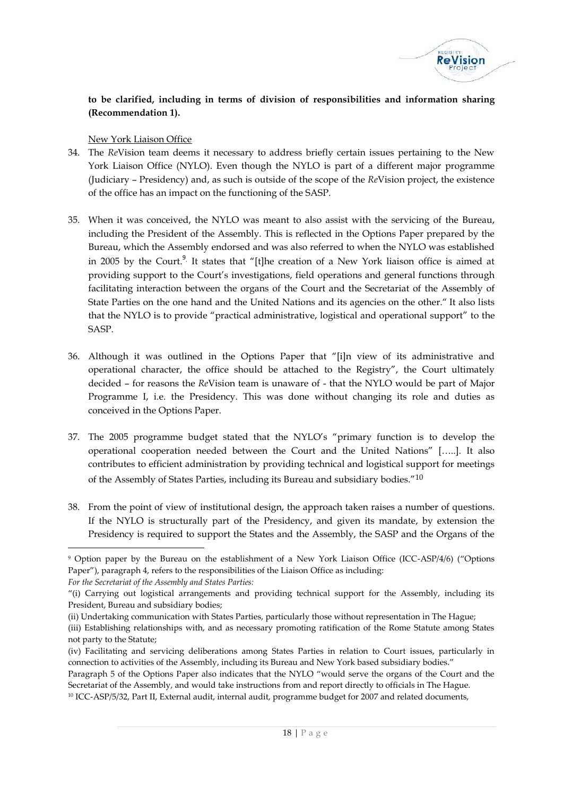

# **to be clarified, including in terms of division of responsibilities and information sharing (Recommendation 1).**

New York Liaison Office

- 34. The *Re*Vision team deems it necessary to address briefly certain issues pertaining to the New York Liaison Office (NYLO). Even though the NYLO is part of a different major programme (Judiciary – Presidency) and, as such is outside of the scope of the *Re*Vision project, the existence of the office has an impact on the functioning of the SASP.
- 35. When it was conceived, the NYLO was meant to also assist with the servicing of the Bureau, including the President of the Assembly. This is reflected in the Options Paper prepared by the Bureau, which the Assembly endorsed and was also referred to when the NYLO was established in 2005 by the Court.<sup>9</sup>. It states that "[t]he creation of a New York liaison office is aimed at providing support to the Court's investigations, field operations and general functions through facilitating interaction between the organs of the Court and the Secretariat of the Assembly of State Parties on the one hand and the United Nations and its agencies on the other." It also lists that the NYLO is to provide "practical administrative, logistical and operational support" to the SASP.
- 36. Although it was outlined in the Options Paper that "[i]n view of its administrative and operational character, the office should be attached to the Registry", the Court ultimately decided - for reasons the *Re*Vision team is unaware of - that the NYLO would be part of Major Programme I, i.e. the Presidency. This was done without changing its role and duties as conceived in the Options Paper.
- 37. The 2005 programme budget stated that the NYLO's "primary function is to develop the operational cooperation needed between the Court and the United Nations" […..]. It also contributes to efficient administration by providing technical and logistical support for meetings of the Assembly of States Parties, including its Bureau and subsidiary bodies."10
- 38. From the point of view of institutional design, the approach taken raises a number of questions. If the NYLO is structurally part of the Presidency, and given its mandate, by extension the Presidency is required to support the States and the Assembly, the SASP and the Organs of the

*For the Secretariat of the Assembly and States Parties:*

(iv) Facilitating and servicing deliberations among States Parties in relation to Court issues, particularly in connection to activities of the Assembly, including its Bureau and New York based subsidiary bodies."

<sup>9</sup> Option paper by the Bureau on the establishment of a New York Liaison Office (ICC-ASP/4/6) ("Options Paper"), paragraph 4, refers to the responsibilities of the Liaison Office as including:

<sup>&</sup>quot;(i) Carrying out logistical arrangements and providing technical support for the Assembly, including its President, Bureau and subsidiary bodies;

<sup>(</sup>ii) Undertaking communication with States Parties, particularly those without representation in The Hague;

<sup>(</sup>iii) Establishing relationships with, and as necessary promoting ratification of the Rome Statute among States not party to the Statute;

from and report directly to off<br>paramme budget for 2007 and<br> $18 | P a g e$ Paragraph 5 of the Options Paper also indicates that the NYLO "would serve the organs of the Court and the Secretariat of the Assembly, and would take instructions from and report directly to officials in The Hague. <sup>10</sup> ICC-ASP/5/32, Part II, External audit, internal audit, programme budget for 2007 and related documents,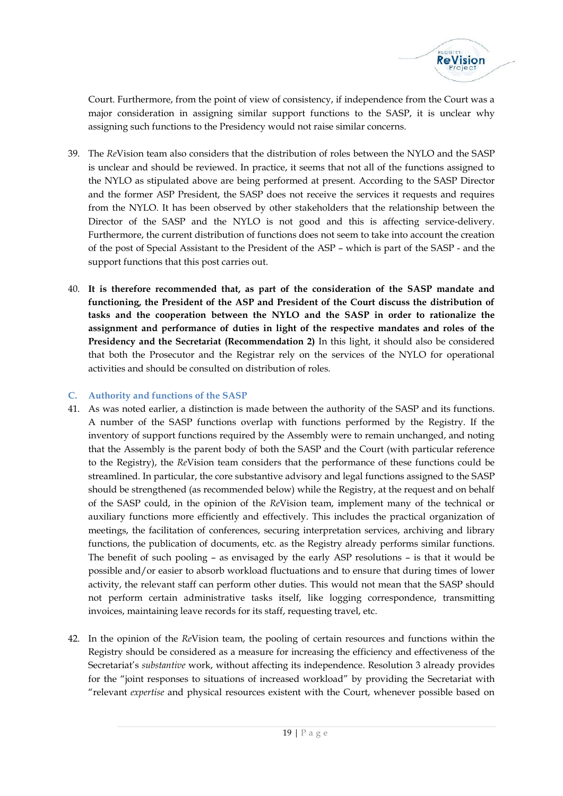

Court. Furthermore, from the point of view of consistency, if independence from the Court was a major consideration in assigning similar support functions to the SASP, it is unclear why assigning such functions to the Presidency would not raise similar concerns.

- 39. The *Re*Vision team also considers that the distribution of roles between the NYLO and the SASP is unclear and should be reviewed. In practice, it seems that not all of the functions assigned to the NYLO as stipulated above are being performed at present. According to the SASP Director and the former ASP President, the SASP does not receive the services it requests and requires from the NYLO. It has been observed by other stakeholders that the relationship between the Director of the SASP and the NYLO is not good and this is affecting service-delivery. Furthermore, the current distribution of functions does not seem to take into account the creation of the post of Special Assistant to the President of the ASP –which is part of the SASP - and the support functions that this post carries out.
- 40. **It is therefore recommended that, as part of the consideration of the SASP mandate and functioning, the President of the ASP and President of the Court discuss the distribution of tasks and the cooperation between the NYLO and the SASP in order to rationalize the assignment and performance of duties in light of the respective mandates and roles of the Presidency and the Secretariat (Recommendation 2)** In this light, it should also be considered that both the Prosecutor and the Registrar rely on the services of the NYLO for operational activities and should be consulted on distribution of roles.

# **C. Authority and functions of the SASP**

- 41. As was noted earlier, a distinction is made between the authority of the SASP and itsfunctions. A number of the SASP functions overlap with functions performed by the Registry. If the inventory of support functions required by the Assembly were to remain unchanged, and noting that the Assembly is the parent body of both the SASP and the Court (with particular reference to the Registry), the *Re*Vision team considers that the performance of these functions could be streamlined. In particular, the core substantive advisory and legal functions assigned to the SASP should be strengthened (as recommended below) while the Registry, at the request and on behalf of the SASP could, in the opinion of the *Re*Vision team, implement many of the technical or auxiliary functions more efficiently and effectively. This includes the practical organization of meetings, the facilitation of conferences, securing interpretation services, archiving and library functions, the publication of documents, etc. as the Registry already performs similar functions. The benefit of such pooling – as envisaged by the early ASP resolutions – is that it would be possible and/or easier to absorb workload fluctuations and to ensure that during times of lower activity, the relevant staff can perform other duties. This would not mean that the SASP should not perform certain administrative tasks itself, like logging correspondence, transmitting invoices, maintaining leave records for its staff, requesting travel, etc.
- The matrix of the periodic contribution of interested workload by providing the secretarial with "relevant *expertise* and physical resources existent with the Court, whenever possible based on<br>19 | P a g e 42. In the opinion of the *Re*Vision team, the pooling of certain resources and functions within the Registry should be considered as a measure for increasing the efficiency and effectiveness of the Secretariat's *substantive* work, without affecting its independence. Resolution 3 already provides for the "joint responses to situations of increased workload" by providing the Secretariat with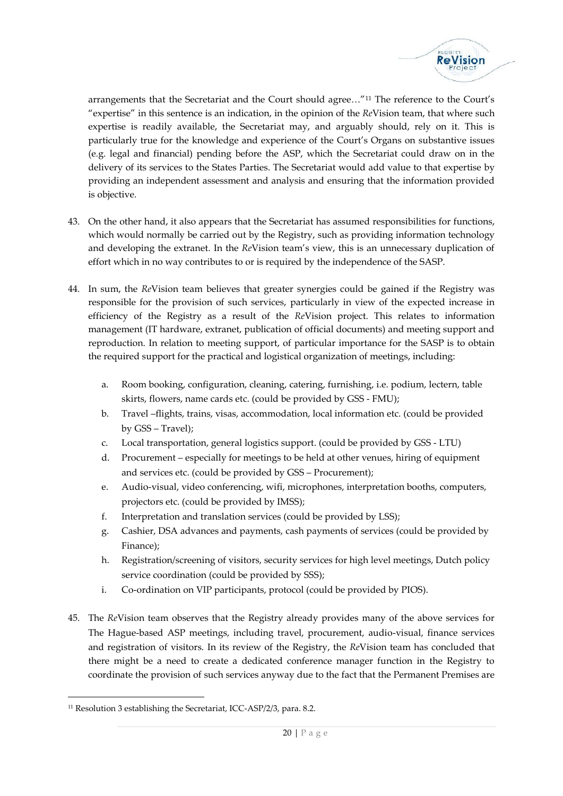

arrangements that the Secretariat and the Court should agree…"<sup>11</sup> The reference to the Court's "expertise" in this sentence is an indication, in the opinion of the *Re*Vision team, that where such expertise is readily available, the Secretariat may, and arguably should, rely on it. This is particularly true for the knowledge and experience of the Court's Organs on substantive issues (e.g. legal and financial) pending before the ASP, which the Secretariat could draw on in the delivery of its services to the States Parties. The Secretariat would add value to that expertise by providing an independent assessment and analysis and ensuring that the information provided is objective.

- 43. On the other hand, it also appears that the Secretariat has assumed responsibilities for functions, which would normally be carried out by the Registry, such as providing information technology and developing the extranet. In the *Re*Vision team's view, this is an unnecessary duplication of effort which in no way contributes to or is required by the independence of the SASP.
- 44. In sum, the *Re*Vision team believes that greater synergies could be gained if the Registry was responsible for the provision of such services, particularly in view of the expected increase in efficiency of the Registry as a result of the *Re*Vision project. This relates to information management (IT hardware, extranet, publication of official documents) and meeting support and reproduction. In relation to meeting support, of particular importance for the SASP is to obtain the required support for the practical and logistical organization of meetings, including:
	- a. Room booking, configuration, cleaning, catering, furnishing, i.e. podium, lectern, table skirts, flowers, name cards etc. (could be provided by GSS - FMU);
	- b. Travel –flights, trains, visas, accommodation, local information etc. (could be provided by GSS – Travel);
	- c. Local transportation, general logistics support. (could be provided by GSS LTU)
	- d. Procurement especially for meetings to be held at other venues, hiring of equipment and services etc. (could be provided by GSS – Procurement);
	- e. Audio-visual, video conferencing, wifi, microphones, interpretation booths, computers, projectors etc. (could be provided by IMSS);
	- f. Interpretation and translation services (could be provided by LSS);
	- g. Cashier, DSA advances and payments, cash payments of services (could be provided by Finance);
	- h. Registration/screening of visitors, security services for high level meetings, Dutch policy service coordination (could be provided by SSS);
	- i. Co-ordination on VIP participants, protocol (could be provided by PIOS).
- 45. The *Re*Vision team observes that the Registry already provides many of the above services for The Hague-based ASP meetings, including travel, procurement, audio-visual, finance services and registration of visitors. In its review of the Registry, the *Re*Vision team has concluded that there might be a need to create a dedicated conference manager function in the Registry to coordinate the provision of such services anyway due to the fact that the Permanent Premises are

<sup>11</sup> Resolution 3 establishing the Secretariat, ICC-ASP/2/3, para. 8.2.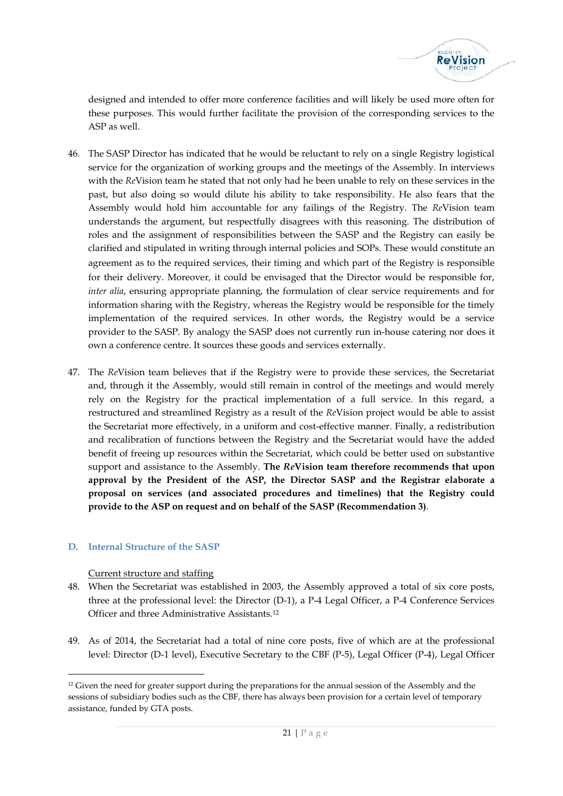

designed and intended to offer more conference facilities and will likely be used more often for these purposes. This would further facilitate the provision of the corresponding services to the ASP as well.

- 46. The SASP Director has indicated that he would be reluctant to rely on a single Registry logistical service for the organization of working groups and the meetings of the Assembly. In interviews with the *Re*Vision team he stated that not only had he been unable to rely on these services in the past, but also doing so would dilute his ability to take responsibility. He also fears that the Assembly would hold him accountable for any failings of the Registry. The *Re*Vision team understands the argument, but respectfully disagrees with this reasoning. The distribution of roles and the assignment of responsibilities between the SASP and the Registry can easily be clarified and stipulated in writing through internal policies and SOPs. These would constitute an agreement as to the required services, their timing and which part of the Registry is responsible for their delivery. Moreover, it could be envisaged that the Director would be responsible for, *inter alia*, ensuring appropriate planning, the formulation of clear service requirements and for information sharing with the Registry, whereas the Registry would be responsible for the timely implementation of the required services. In other words, the Registry would be a service provider to the SASP. By analogy the SASP does not currently run in-house catering nor does it own a conference centre. It sources these goods and services externally.
- 47. The *Re*Vision team believes that if the Registry were to provide these services, the Secretariat and, through it the Assembly, would still remain in control of the meetings and would merely rely on the Registry for the practical implementation of a full service. In this regard, a restructured and streamlined Registry as a result of the *Re*Vision project would be able to assist the Secretariat more effectively, in a uniform and cost-effective manner. Finally, a redistribution and recalibration of functions between the Registry and the Secretariat would have the added benefit of freeing up resources within the Secretariat, which could be better used on substantive support and assistance to the Assembly. **The** *Re***Vision team therefore recommends that upon approval by the President of the ASP, the Director SASP and the Registrar elaborate a proposal on services (and associated procedures and timelines) that the Registry could provide to the ASP on request and on behalf of the SASP (Recommendation 3)**.

# **D. Internal Structure of the SASP**

#### Current structure and staffing

- 48. When the Secretariat was established in 2003, the Assembly approved a total of six core posts, three at the professional level: the Director (D-1), a P-4 Legal Officer, a P-4 Conference Services Officer and three Administrative Assistants.<sup>12</sup>
- 49. As of 2014, the Secretariat had a total of nine core posts, five of which are at the professional level: Director (D-1 level), Executive Secretary to the CBF (P-5), Legal Officer (P-4), Legal Officer

ions for the annual session of<br>lways been provision for a central provision for a central<br>21 | P a g e <sup>12</sup> Given the need for greater support during the preparations for the annual session of the Assembly and the sessions of subsidiary bodies such as the CBF, there has always been provision for a certain level of temporary assistance, funded by GTA posts.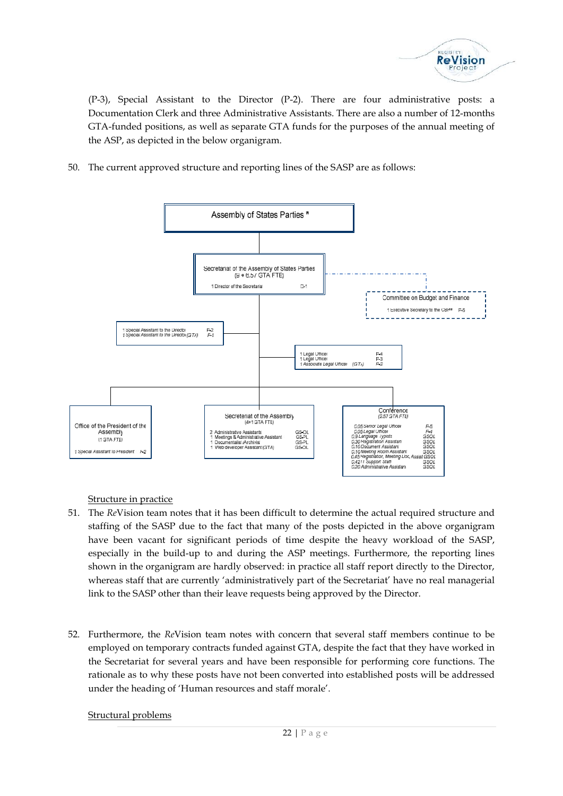

(P-3), Special Assistant to the Director (P-2). There are four administrative posts: a Documentation Clerk and three Administrative Assistants. There are also a number of 12-months GTA-funded positions, as well as separate GTA funds for the purposes of the annual meeting of the ASP, as depicted in the below organigram.

50. The current approved structure and reporting lines of the SASP are as follows:



Structure in practice

- 51. The *Re*Vision team notes that it has been difficult to determine the actual required structure and staffing of the SASP due to the fact that many of the posts depicted in the above organigram have been vacant for significant periods of time despite the heavy workload of the SASP, especially in the build-up to and during the ASP meetings. Furthermore, the reporting lines shown in the organigram are hardly observed: in practice all staff report directly to the Director, whereas staff that are currently 'administratively part of the Secretariat' have no real managerial link to the SASP other than their leave requests being approved by the Director.
- aff morale'.<br>22 | P a g e 52. Furthermore, the *Re*Vision team notes with concern that several staff members continue to be employed on temporary contracts funded against GTA, despite the fact that they have worked in the Secretariat for several years and have been responsible for performing core functions. The rationale as to why these posts have not been converted into established posts will be addressed under the heading of 'Human resources and staff morale'.

Structural problems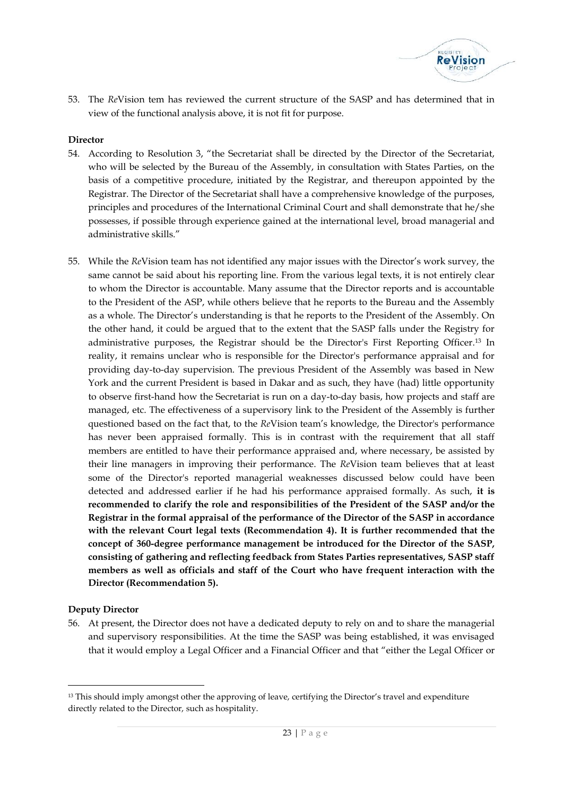

53. The *Re*Vision tem has reviewed the current structure of the SASP and has determined that in view of the functional analysis above, it is not fit for purpose.

# **Director**

- 54. According to Resolution 3, "the Secretariat shall be directed by the Director of the Secretariat, who will be selected by the Bureau of the Assembly, in consultation with States Parties, on the basis of a competitive procedure, initiated by the Registrar, and thereupon appointed by the Registrar. The Director of the Secretariat shall have a comprehensive knowledge of the purposes, principles and procedures of the International Criminal Court and shall demonstrate that he/she possesses, if possible through experience gained at the international level, broad managerial and administrative skills."
- 55. While the *Re*Vision team has not identified any major issues with the Director's work survey, the same cannot be said about his reporting line. From the various legal texts, it is not entirely clear to whom the Director is accountable. Many assume that the Director reports and is accountable to the President of the ASP, while others believe that he reports to the Bureau and the Assembly as a whole. The Director's understanding is that he reports to the President of the Assembly. On the other hand, it could be argued that to the extent that the SASP falls under the Registry for administrative purposes, the Registrar should be the Director's First Reporting Officer.<sup>13</sup> In reality, it remains unclear who is responsible for the Director's performance appraisal and for providing day-to-day supervision. The previous President of the Assembly was based in New York and the current President is based in Dakar and as such, they have (had) little opportunity to observe first-hand how the Secretariat is run on a day-to-day basis, how projects and staff are managed, etc. The effectiveness of a supervisory link to the President of the Assembly is further questioned based on the fact that, to the *Re*Vision team's knowledge, the Director's performance has never been appraised formally. This is in contrast with the requirement that all staff members are entitled to have their performance appraised and, where necessary, be assisted by their line managers in improving their performance. The *Re*Vision team believes that at least some of the Director's reported managerial weaknesses discussed below could have been detected and addressed earlier if he had his performance appraised formally. As such, **it is recommended to clarify the role and responsibilities of the President of the SASP and/or the Registrar in the formal appraisal of the performance of the Director of the SASP in accordance with the relevant Court legal texts (Recommendation 4). It is further recommended that the concept of 360-degree performance management be introduced for the Director of the SASP, consisting of gathering and reflecting feedback from States Parties representatives, SASP staff members as well as officials and staff of the Court who have frequent interaction with the Director (Recommendation 5).**

# **Deputy Director**

56. At present, the Director does not have a dedicated deputy to rely on and to share the managerial and supervisory responsibilities. At the time the SASP was being established, it was envisaged that it would employ a Legal Officer and a Financial Officer and that "either the Legal Officer or

e, certifying the Director's tra $23 \mid P$  a g e <sup>13</sup> This should imply amongst other the approving of leave, certifying the Director's travel and expenditure directly related to the Director, such as hospitality.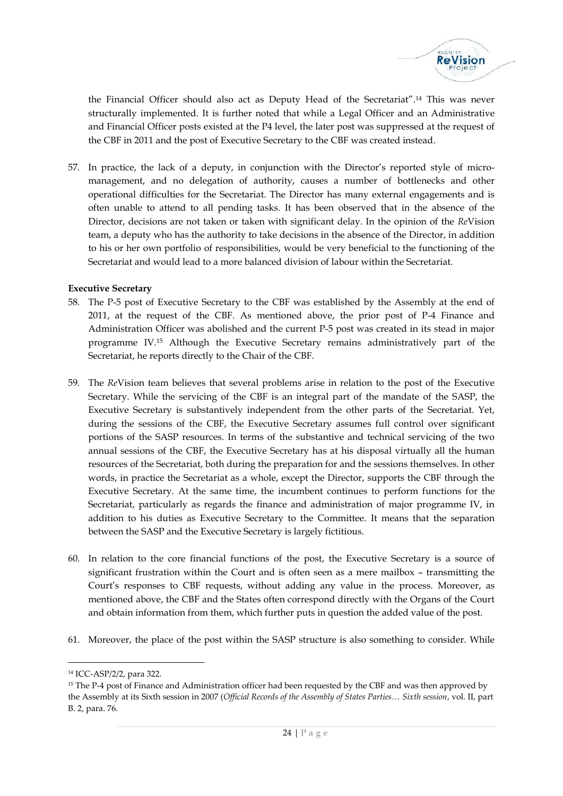

the Financial Officer should also act as Deputy Head of the Secretariat".<sup>14</sup> This was never structurally implemented. It is further noted that while a Legal Officer and an Administrative and Financial Officer posts existed at the P4 level, the later post was suppressed at the request of the CBF in 2011 and the post of Executive Secretary to the CBF was created instead.

57. In practice, the lack of a deputy, in conjunction with the Director's reported style of micro management, and no delegation of authority, causes a number of bottlenecks and other operational difficulties for the Secretariat. The Director has many external engagements and is often unable to attend to all pending tasks. It has been observed that in the absence of the Director, decisions are not taken or taken with significant delay. In the opinion of the *Re*Vision team, a deputy who has the authority to take decisions in the absence of the Director, in addition to his or her own portfolio of responsibilities, would be very beneficial to the functioning of the Secretariat and would lead to a more balanced division of labour within the Secretariat.

#### **Executive Secretary**

- 58. The P-5 post of Executive Secretary to the CBF was established by the Assembly at the end of 2011, at the request of the CBF. As mentioned above, the prior post of P-4 Finance and Administration Officer was abolished and the current P-5 post was created in its stead in major programme IV.<sup>15</sup> Although the Executive Secretary remains administratively part of the Secretariat, he reports directly to the Chair of the CBF.
- 59. The *Re*Vision team believes that several problems arise in relation to the post of the Executive Secretary. While the servicing of the CBF is an integral part of the mandate of the SASP, the Executive Secretary is substantively independent from the other parts of the Secretariat. Yet, during the sessions of the CBF, the Executive Secretary assumes full control over significant portions of the SASP resources. In terms of the substantive and technical servicing of the two annual sessions of the CBF, the Executive Secretary has at his disposal virtually all the human resources of the Secretariat, both during the preparation for and the sessions themselves. In other words, in practice the Secretariat as a whole, except the Director, supports the CBF through the Executive Secretary. At the same time, the incumbent continues to perform functions for the Secretariat, particularly as regards the finance and administration of major programme IV, in addition to his duties as Executive Secretary to the Committee. It means that the separation between the SASP and the Executive Secretary is largely fictitious.
- 60. In relation to the core financial functions of the post, the Executive Secretary is a source of significant frustration within the Court and is often seen as a mere mailbox – transmitting the Court's responses to CBF requests, without adding any value in the process. Moreover, as mentioned above, the CBF and the States often correspond directly with the Organs of the Court and obtain information from them, which further puts in question the added value of the post.
- 61. Moreover, the place of the post within the SASP structure is also something to consider. While

<sup>14</sup> ICC-ASP/2/2, para 322.

been requested by the CBF at the Assembly of States Parties.<br>
24 | P a g e <sup>15</sup> The P-4 post of Finance and Administration officer had been requested by the CBF and was then approved by the Assembly at its Sixth session in 2007 (*Official Records of the Assembly of States Parties… Sixth session*, vol. II, part B. 2, para. 76.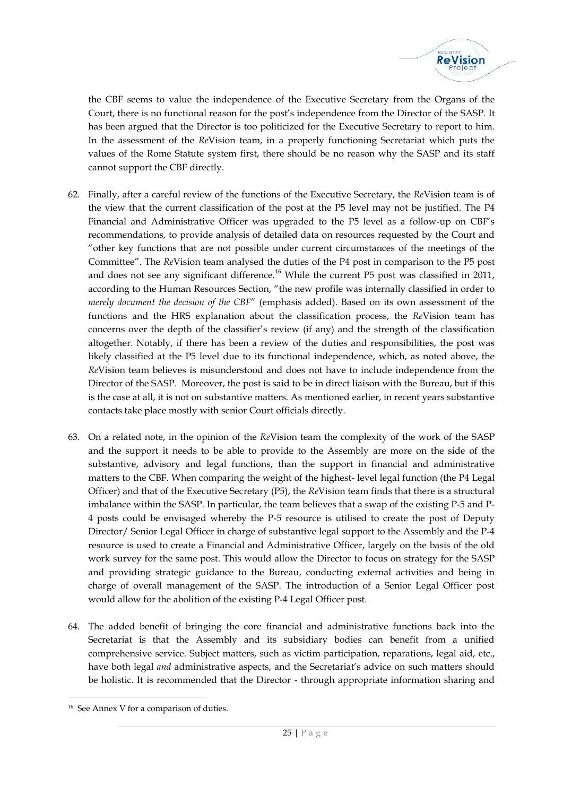

the CBF seems to value the independence of the Executive Secretary from the Organs of the Court, there is no functional reason for the post's independence from the Director of the SASP. It has been argued that the Director is too politicized for the Executive Secretary to report to him. In the assessment of the *Re*Vision team, in a properly functioning Secretariat which puts the values of the Rome Statute system first, there should be no reason why the SASP and its staff cannot support the CBF directly.

- 62. Finally, after a careful review of the functions of the Executive Secretary, the *Re*Vision team is of the view that the current classification of the post at the P5 level may not be justified. The P4 Financial and Administrative Officer was upgraded to the P5 level as a follow-up on CBF's recommendations, to provide analysis of detailed data on resources requested by the Court and "other key functions that are not possible under current circumstances of the meetings of the Committee". The *Re*Vision team analysed the duties of the P4 post in comparison to the P5 post and does not see any significant difference.<sup>16</sup> While the current P5 post was classified in 2011, according to the Human Resources Section, "the new profile was internally classified in order to *merely document the decision of the CBF*" (emphasis added). Based on its own assessment of the functions and the HRS explanation about the classification process, the *Re*Vision team has concerns over the depth of the classifier's review (if any) and the strength of the classification altogether. Notably, if there has been a review of the duties and responsibilities, the post was likely classified at the P5 level due to its functional independence, which, as noted above, the *Re*Vision team believes is misunderstood and does not have to include independence from the Director of the SASP. Moreover, the post is said to be in direct liaison with the Bureau, but if this is the case at all, it is not on substantive matters. As mentioned earlier, in recent years substantive contacts take place mostly with senior Court officials directly.
- 63. On a related note, in the opinion of the *Re*Vision team the complexity of the work of the SASP and the support it needs to be able to provide to the Assembly are more on the side of the substantive, advisory and legal functions, than the support in financial and administrative matters to the CBF. When comparing the weight of the highest- level legal function (the P4 Legal Officer) and that of the Executive Secretary (P5), the *Re*Vision team finds that there is a structural imbalance within the SASP. In particular, the team believes that a swap of the existing P-5 and P- 4 posts could be envisaged whereby the P-5 resource is utilised to create the post of Deputy Director/ Senior Legal Officer in charge of substantive legal support to the Assembly and the P-4 resource is used to create a Financial and Administrative Officer, largely on the basis of the old work survey for the same post. This would allow the Director to focus on strategy for the SASP and providing strategic guidance to the Bureau, conducting external activities and being in charge of overall management of the SASP. The introduction of a Senior Legal Officer post would allow for the abolition of the existing P-4 Legal Officer post.
- 64. The added benefit of bringing the core financial and administrative functions back into the Secretariat is that the Assembly and its subsidiary bodies can benefit from a unified comprehensive service. Subject matters, such as victim participation, reparations, legal aid, etc., have both legal *and* administrative aspects, and the Secretariat's advice on such matters should be holistic. It is recommended that the Director - through appropriate information sharing and

<sup>&</sup>lt;sup>16</sup> See Annex V for a comparison of duties.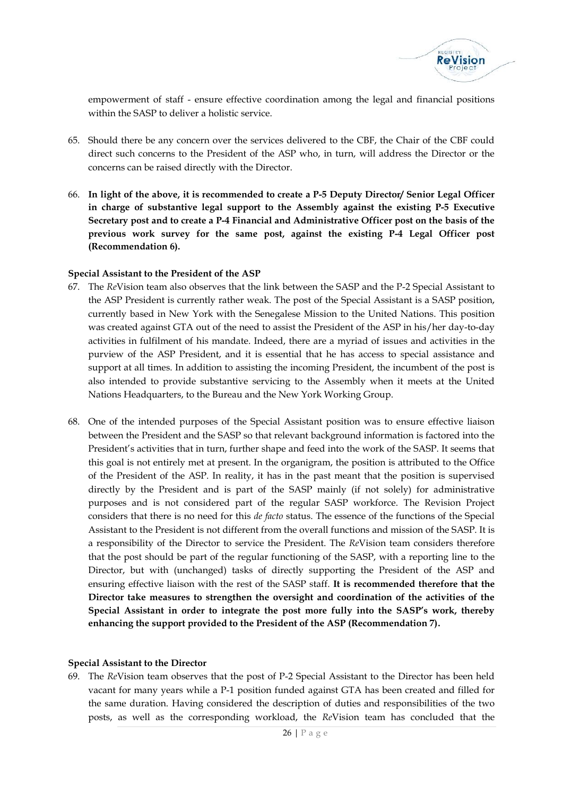

empowerment of staff - ensure effective coordination among the legal and financial positions within the SASP to deliver a holistic service.

- 65. Should there be any concern over the services delivered to the CBF, the Chair of the CBF could direct such concerns to the President of the ASP who, in turn, will address the Director or the concerns can be raised directly with the Director.
- 66. **In light of the above, it is recommended to create a P-5 Deputy Director/ Senior Legal Officer in charge of substantive legal support to the Assembly against the existing P-5 Executive Secretary post and to create a P-4 Financial and Administrative Officer post on the basis of the previous work survey for the same post, against the existing P-4 Legal Officer post (Recommendation 6).**

#### **Special Assistant to the President of the ASP**

- 67. The *Re*Vision team also observes that the link between the SASP and the P-2 Special Assistant to the ASP President is currently rather weak. The post of the Special Assistant is a SASP position, currently based in New York with the Senegalese Mission to the United Nations. This position was created against GTA out of the need to assist the President of the ASP in his/her day-to-day activities in fulfilment of his mandate. Indeed, there are a myriad of issues and activities in the purview of the ASP President, and it is essential that he has access to special assistance and support at all times. In addition to assisting the incoming President, the incumbent of the post is also intended to provide substantive servicing to the Assembly when it meets at the United Nations Headquarters, to the Bureau and the New York Working Group.
- 68. One of the intended purposes of the Special Assistant position was to ensure effective liaison between the President and the SASP so that relevant background information is factored into the President's activities that in turn, further shape and feed into the work of the SASP. It seems that this goal is not entirely met at present. In the organigram, the position is attributed to the Office of the President of the ASP. In reality, it has in the past meant that the position is supervised directly by the President and is part of the SASP mainly (if not solely) for administrative purposes and is not considered part of the regular SASP workforce. The Revision Project considers that there is no need for this *de facto* status. The essence of the functions of the Special Assistant to the President is not different from the overall functions and mission of the SASP. It is a responsibility of the Director to service the President. The *Re*Vision team considers therefore that the post should be part of the regular functioning of the SASP, with a reporting line to the Director, but with (unchanged) tasks of directly supporting the President of the ASP and ensuring effective liaison with the rest of the SASP staff. **It is recommended therefore that the Director take measures to strengthen the oversight and coordination of the activities of the Special Assistant in order to integrate the post more fully into the SASP's work, thereby enhancing the support provided to the President of the ASP (Recommendation 7).**

#### **Special Assistant to the Director**

nded against GTA has bee<br>scription of duties and res<br>bad, the *ReV*ision team **P**<br>26 | P a g e 69. The *Re*Vision team observes that the post of P-2 Special Assistant to the Director has been held vacant for many years while a P-1 position funded against GTA has been created and filled for the same duration. Having considered the description of duties and responsibilities of the two posts, as well as the corresponding workload, the *Re*Vision team has concluded that the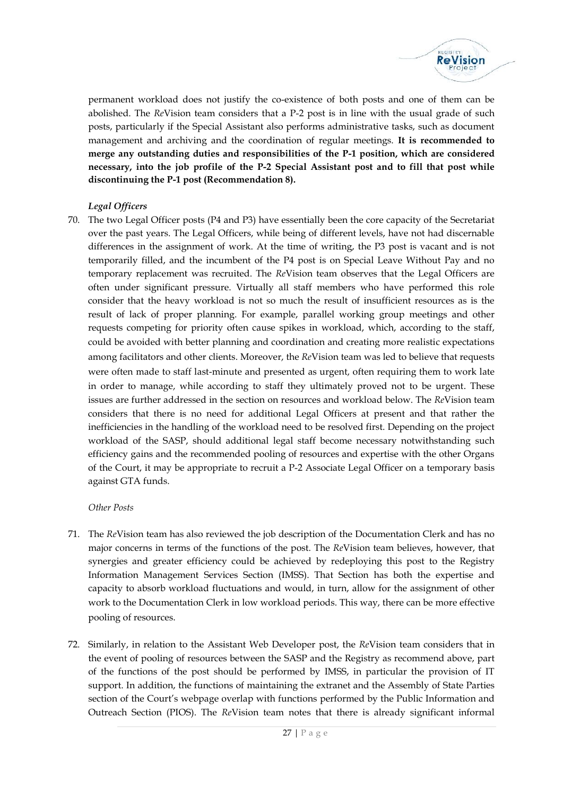

permanent workload does not justify the co-existence of both posts and one of them can be abolished. The *Re*Vision team considers that a P-2 post is in line with the usual grade of such posts, particularly if the Special Assistant also performs administrative tasks, such as document management and archiving and the coordination of regular meetings. **It is recommended to merge any outstanding duties and responsibilities of the P-1 position, which are considered necessary, into the job profile of the P-2 Special Assistant post and to fill that post while discontinuing the P-1 post (Recommendation 8).**

# *Legal Officers*

70. The two Legal Officer posts (P4 and P3) have essentially been the core capacity of the Secretariat over the past years. The Legal Officers, while being of different levels, have not had discernable differences in the assignment of work. At the time of writing, the P3 post is vacant and is not temporarily filled, and the incumbent of the P4 post is on Special Leave Without Pay and no temporary replacement was recruited. The *Re*Vision team observes that the Legal Officers are often under significant pressure. Virtually all staff members who have performed this role consider that the heavy workload is not so much the result of insufficient resources as is the result of lack of proper planning. For example, parallel working group meetings and other requests competing for priority often cause spikes in workload, which, according to the staff, could be avoided with better planning and coordination and creating more realistic expectations among facilitators and other clients. Moreover, the *Re*Vision team was led to believe that requests were often made to staff last-minute and presented as urgent, often requiring them to work late in order to manage, while according to staff they ultimately proved not to be urgent. These issues are further addressed in the section on resources and workload below. The *Re*Vision team considers that there is no need for additional Legal Officers at present and that rather the inefficiencies in the handling of the workload need to be resolved first. Depending on the project workload of the SASP, should additional legal staff become necessary notwithstanding such efficiency gains and the recommended pooling of resources and expertise with the other Organs of the Court, it may be appropriate to recruit a P-2 Associate Legal Officer on a temporary basis against GTA funds.

# *Other Posts*

- 71. The *Re*Vision team has also reviewed the job description of the Documentation Clerk and has no major concerns in terms of the functions of the post. The *Re*Vision team believes, however, that synergies and greater efficiency could be achieved by redeploying this post to the Registry Information Management Services Section (IMSS). That Section has both the expertise and capacity to absorb workload fluctuations and would, in turn, allow for the assignment of other work to the Documentation Clerk in low workload periods. This way, there can be more effective pooling of resources.
- Extranet and the A<br>unctions performed by the<br> $\mu$  notes that there is alrea<br>27 | P a g e 72. Similarly, in relation to the Assistant Web Developer post, the *Re*Vision team considers that in the event of pooling of resources between the SASP and the Registry as recommend above, part of the functions of the post should be performed by IMSS, in particular the provision of IT support. In addition, the functions of maintaining the extranet and the Assembly of State Parties section of the Court's webpage overlap with functions performed by the Public Information and Outreach Section (PIOS). The *Re*Vision team notes that there is already significant informal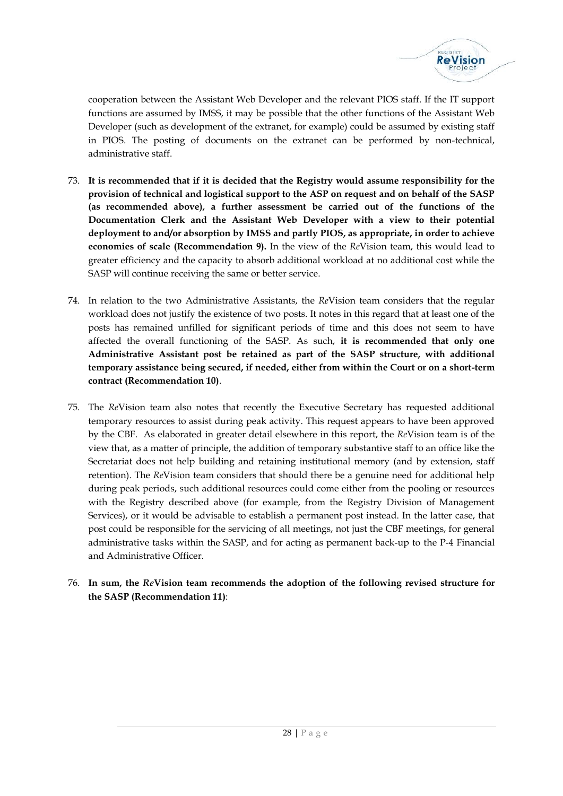

cooperation between the Assistant Web Developer and the relevant PIOS staff. If the IT support functions are assumed by IMSS, it may be possible that the other functions of the Assistant Web Developer (such as development of the extranet, for example) could be assumed by existing staff in PIOS. The posting of documents on the extranet can be performed by non-technical, administrative staff.

- 73. **It is recommended that if it is decided that the Registry would assume responsibility for the provision of technical and logistical support to the ASP on request and on behalf of the SASP (as recommended above), a further assessment be carried out of the functions of the Documentation Clerk and the Assistant Web Developer with a view to their potential deployment to and/or absorption by IMSS and partly PIOS, as appropriate, in order to achieve economies of scale (Recommendation 9).** In the view of the *Re*Vision team, this would lead to greater efficiency and the capacity to absorb additional workload at no additional cost while the SASP will continue receiving the same or better service.
- 74. In relation to the two Administrative Assistants, the *Re*Vision team considers that the regular workload does not justify the existence of two posts. It notes in this regard that at least one of the posts has remained unfilled for significant periods of time and this does not seem to have affected the overall functioning of the SASP. As such, **it is recommended that only one Administrative Assistant post be retained as part of the SASP structure, with additional temporary assistance being secured, if needed, either from within the Court or on a short-term contract (Recommendation 10)**.
- 75. The *Re*Vision team also notes that recently the Executive Secretary has requested additional temporary resources to assist during peak activity. This request appears to have been approved by the CBF. As elaborated in greater detail elsewhere in this report, the *Re*Vision team is of the view that, as a matter of principle, the addition of temporary substantive staff to an office like the Secretariat does not help building and retaining institutional memory (and by extension, staff retention). The *Re*Vision team considers that should there be a genuine need for additional help during peak periods, such additional resources could come either from the pooling or resources with the Registry described above (for example, from the Registry Division of Management Services), or it would be advisable to establish a permanent post instead. In the latter case, that post could be responsible for the servicing of all meetings, not just the CBF meetings, for general administrative tasks within the SASP, and for acting as permanent back-up to the P-4 Financial and Administrative Officer.
- 76. **In sum, the** *Re***Vision team recommends the adoption of the following revised structure for the SASP (Recommendation 11)**: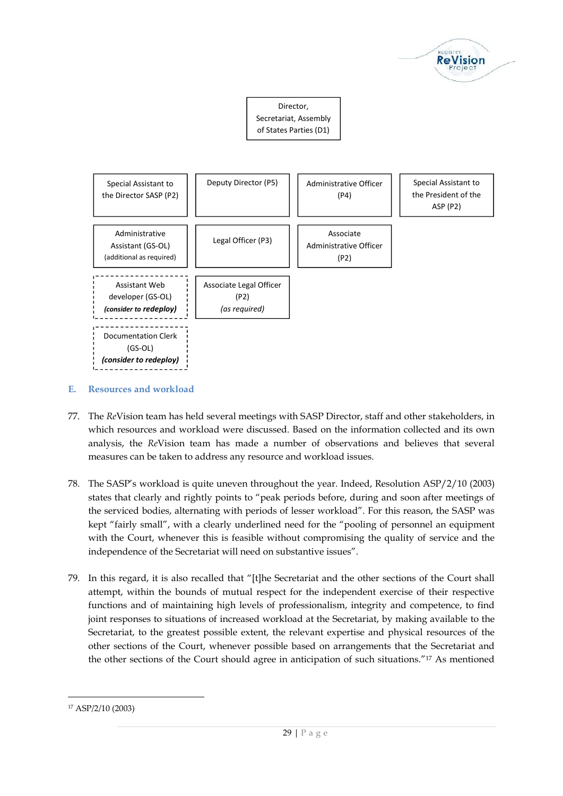



# **E. Resources and workload**

- 77. The *Re*Vision team has held several meetings with SASP Director, staff and other stakeholders, in which resources and workload were discussed. Based on the information collected and its own analysis, the *Re*Vision team has made a number of observations and believes that several measures can be taken to address any resource and workload issues.
- 78. The SASP's workload is quite uneven throughout the year. Indeed, Resolution ASP/2/10 (2003) states that clearly and rightly points to "peak periods before, during and soon after meetings of the serviced bodies, alternating with periods of lesser workload". For this reason, the SASP was kept "fairly small", with a clearly underlined need for the "pooling of personnel an equipment with the Court, whenever this is feasible without compromising the quality of service and the independence of the Secretariat will need on substantive issues".
- 79. In this regard, it is also recalled that "[t]he Secretariat and the other sections of the Court shall attempt, within the bounds of mutual respect for the independent exercise of their respective functions and of maintaining high levels of professionalism, integrity and competence, to find joint responses to situations of increased workload at the Secretariat, by making available to the Secretariat, to the greatest possible extent, the relevant expertise and physical resources of the other sections of the Court, whenever possible based on arrangements that the Secretariat and the other sections of the Court should agree in anticipation of such situations."<sup>17</sup> As mentioned

<sup>17</sup> ASP/2/10 (2003)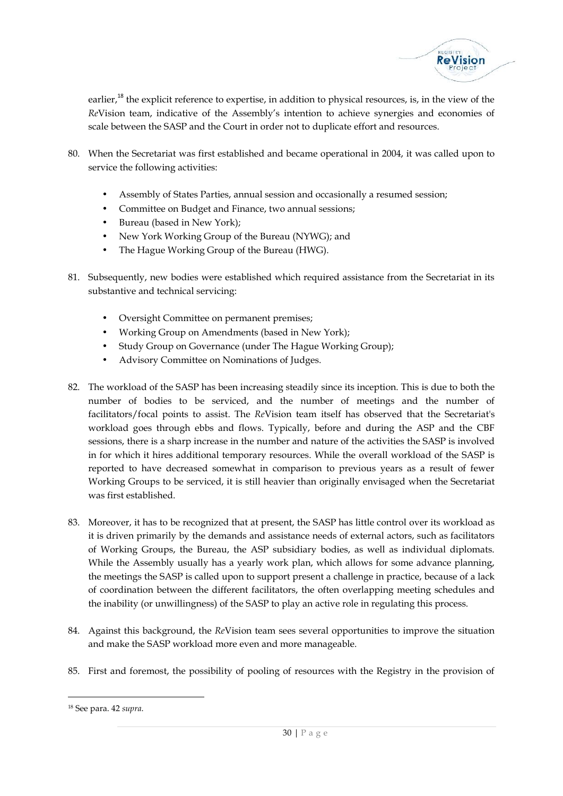

earlier,<sup>18</sup> the explicit reference to expertise, in addition to physical resources, is, in the view of the *Re*Vision team, indicative of the Assembly's intention to achieve synergies and economies of scale between the SASP and the Court in order not to duplicate effort and resources.

- 80. When the Secretariat was first established and became operational in 2004, it was called upon to service the following activities:
	- Assembly of States Parties, annual session and occasionally a resumed session;
	- Committee on Budget and Finance, two annual sessions;
	- Bureau (based in New York);
	- New York Working Group of the Bureau (NYWG); and
	- The Hague Working Group of the Bureau (HWG).
- 81. Subsequently, new bodies were established which required assistance from the Secretariat in its substantive and technical servicing:
	- Oversight Committee on permanent premises;
	- Working Group on Amendments (based in New York);
	- Study Group on Governance (under The Hague Working Group);
	- Advisory Committee on Nominations of Judges.
- 82. The workload of the SASP has been increasing steadily since its inception. This is due to both the number of bodies to be serviced, and the number of meetings and the number of facilitators/focal points to assist. The *Re*Vision team itself has observed that the Secretariat's workload goes through ebbs and flows. Typically, before and during the ASP and the CBF sessions, there is a sharp increase in the number and nature of the activities the SASP is involved in for which it hires additional temporary resources. While the overall workload of the SASP is reported to have decreased somewhat in comparison to previous years as a result of fewer Working Groups to be serviced, it is still heavier than originally envisaged when the Secretariat was first established.
- 83. Moreover, it has to be recognized that at present, the SASP has little control over its workload as it is driven primarily by the demands and assistance needs of external actors, such as facilitators of Working Groups, the Bureau, the ASP subsidiary bodies, as well as individual diplomats. While the Assembly usually has a yearly work plan, which allows for some advance planning, the meetings the SASP is called upon to support present a challenge in practice, because of a lack of coordination between the different facilitators, the often overlapping meeting schedules and the inability (or unwillingness) of the SASP to play an active role in regulating this process.
- 84. Against this background, the *Re*Vision team sees several opportunities to improve the situation and make the SASP workload more even and more manageable.
- 85. First and foremost, the possibility of pooling of resources with the Registry in the provision of

<sup>18</sup> See para. 42 *supra*.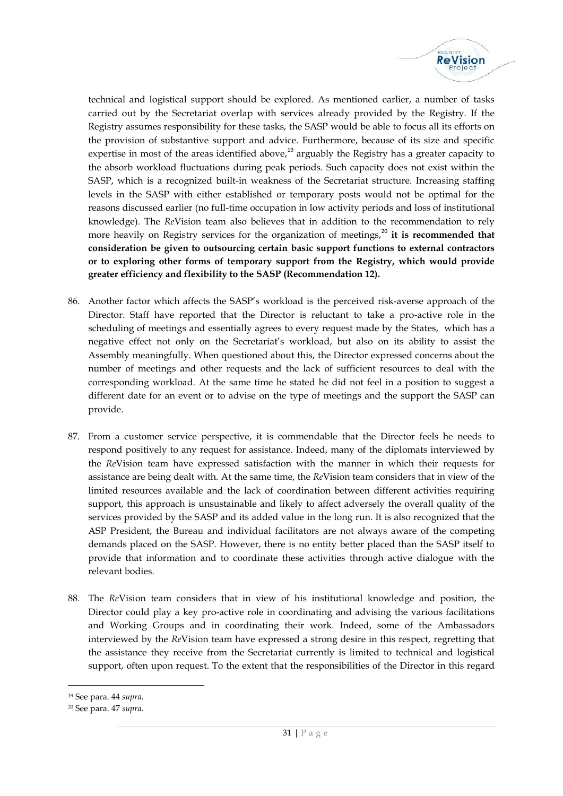

technical and logistical support should be explored. As mentioned earlier, a number of tasks carried out by the Secretariat overlap with services already provided by the Registry. If the Registry assumes responsibility for these tasks, the SASP would be able to focus all its efforts on the provision of substantive support and advice. Furthermore, because of its size and specific expertise in most of the areas identified above, $^{19}$  arguably the Registry has a greater capacity to the absorb workload fluctuations during peak periods. Such capacity does not exist within the SASP, which is a recognized built-in weakness of the Secretariat structure. Increasing staffing levels in the SASP with either established or temporary posts would not be optimal for the reasons discussed earlier (no full-time occupation in low activity periods and loss of institutional knowledge). The *Re*Vision team also believes that in addition to the recommendation to rely more heavily on Registry services for the organization of meetings,<sup>20</sup> it is **recommended that consideration be given to outsourcing certain basic support functions to external contractors or to exploring other forms of temporary support from the Registry, which would provide greater efficiency and flexibility to the SASP (Recommendation 12).**

- 86. Another factor which affects the SASP's workload is the perceived risk-averse approach of the Director. Staff have reported that the Director is reluctant to take a pro-active role in the scheduling of meetings and essentially agrees to every request made by the States, which has a negative effect not only on the Secretariat's workload, but also on its ability to assist the Assembly meaningfully. When questioned about this, the Director expressed concerns about the number of meetings and other requests and the lack of sufficient resources to deal with the corresponding workload. At the same time he stated he did not feel in a position to suggest a different date for an event or to advise on the type of meetings and the support the SASP can provide.
- 87. From a customer service perspective, it is commendable that the Director feels he needs to respond positively to any request for assistance. Indeed, many of the diplomats interviewed by the *Re*Vision team have expressed satisfaction with the manner in which their requests for assistance are being dealt with. At the same time, the *Re*Vision team considers that in view of the limited resources available and the lack of coordination between different activities requiring support, this approach is unsustainable and likely to affect adversely the overall quality of the services provided by the SASP and its added value in the long run. It is also recognized that the ASP President, the Bureau and individual facilitators are not always aware of the competing demands placed on the SASP. However, there is no entity better placed than the SASP itself to provide that information and to coordinate these activities through active dialogue with the relevant bodies.
- 88. The *Re*Vision team considers that in view of his institutional knowledge and position, the Director could play a key pro-active role in coordinating and advising the various facilitations and Working Groups and in coordinating their work. Indeed, some of the Ambassadors interviewed by the *Re*Vision team have expressed a strong desire in this respect, regretting that the assistance they receive from the Secretariat currently is limited to technical and logistical support, often upon request. To the extent that the responsibilities of the Director in this regard

<sup>19</sup> See para. 44 *supra*.

<sup>20</sup> See para. 47 *supra*.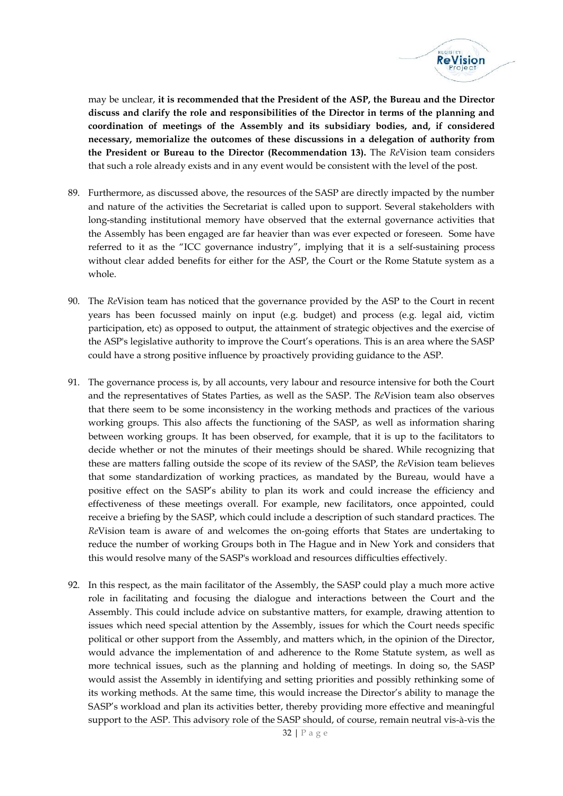

may be unclear, **it is recommended that the President of the ASP, the Bureau and the Director discuss and clarify the role and responsibilities of the Director in terms of the planning and coordination of meetings of the Assembly and its subsidiary bodies, and, if considered necessary, memorialize the outcomes of these discussions in a delegation of authority from the President or Bureau to the Director (Recommendation 13).** The *Re*Vision team considers that such a role already exists and in any event would be consistent with the level of the post.

- 89. Furthermore, as discussed above, the resources of the SASP are directly impacted by the number and nature of the activities the Secretariat is called upon to support. Several stakeholders with long-standing institutional memory have observed that the external governance activities that the Assembly has been engaged are far heavier than was ever expected or foreseen. Some have referred to it as the "ICC governance industry", implying that it is a self-sustaining process without clear added benefits for either for the ASP, the Court or the Rome Statute system as a whole.
- 90. The *Re*Vision team has noticed that the governance provided by the ASP to the Court in recent years has been focussed mainly on input (e.g. budget) and process (e.g. legal aid, victim participation, etc) as opposed to output, the attainment of strategic objectives and the exercise of the ASP's legislative authority to improve the Court's operations. This is an area where the SASP could have a strong positive influence by proactively providing guidance to the ASP.
- 91. The governance process is, by all accounts, very labour and resource intensive for both the Court and the representatives of States Parties, as well as the SASP. The *Re*Vision team also observes that there seem to be some inconsistency in the working methods and practices of the various working groups. This also affects the functioning of the SASP, as well as information sharing between working groups. It has been observed, for example, that it is up to the facilitators to decide whether or not the minutes of their meetings should be shared. While recognizing that these are matters falling outside the scope of its review of the SASP, the *Re*Vision team believes that some standardization of working practices, as mandated by the Bureau, would have a positive effect on the SASP's ability to plan its work and could increase the efficiency and effectiveness of these meetings overall. For example, new facilitators, once appointed, could receive a briefing by the SASP, which could include a description of such standard practices. The *Re*Vision team is aware of and welcomes the on-going efforts that States are undertaking to reduce the number of working Groups both in The Hague and in New York and considers that this would resolve many of the SASP's workload and resources difficulties effectively.
- betting priorities and possible<br>vould increase the Director<br>thereby providing more e<br>ASP should, of course, rem<br>32 | P a g e 92. In this respect, as the main facilitator of the Assembly, the SASP could play a much more active role in facilitating and focusing the dialogue and interactions between the Court and the Assembly. This could include advice on substantive matters, for example, drawing attention to issues which need special attention by the Assembly, issues for which the Court needs specific political or other support from the Assembly, and matters which, in the opinion of the Director, would advance the implementation of and adherence to the Rome Statute system, as well as more technical issues, such as the planning and holding of meetings. In doing so, the SASP would assist the Assembly in identifying and setting priorities and possibly rethinking some of its working methods. At the same time, this would increase the Director's ability to manage the SASP's workload and plan its activities better, thereby providing more effective and meaningful support to the ASP. This advisory role of the SASP should, of course, remain neutral vis-à-vis the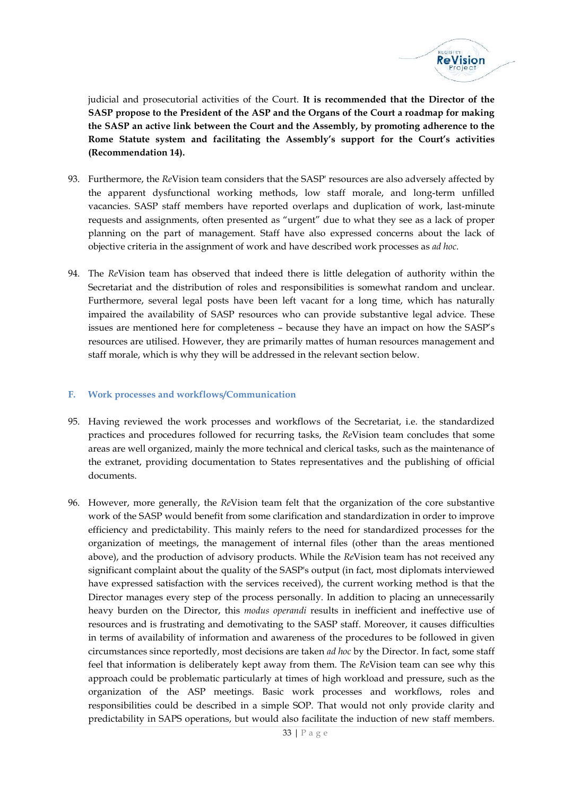

judicial and prosecutorial activities of the Court. **It is recommended that the Director of the SASP propose to the President of the ASP and the Organs of the Court a roadmap for making the SASP an active link between the Court and the Assembly, by promoting adherence to the Rome Statute system and facilitating the Assembly's support for the Court's activities (Recommendation 14).**

- 93. Furthermore, the *Re*Vision team considers that the SASP' resources are also adversely affected by the apparent dysfunctional working methods, low staff morale, and long-term unfilled vacancies. SASP staff members have reported overlaps and duplication of work, last-minute requests and assignments, often presented as "urgent" due to what they see as a lack of proper planning on the part of management. Staff have also expressed concerns about the lack of objective criteria in the assignment of work and have described work processes as *ad hoc*.
- 94. The *Re*Vision team has observed that indeed there is little delegation of authority within the Secretariat and the distribution of roles and responsibilities is somewhat random and unclear. Furthermore, several legal posts have been left vacant for a long time, which has naturally impaired the availability of SASP resources who can provide substantive legal advice. These issues are mentioned here for completeness – because they have an impact on how the SASP's resources are utilised. However, they are primarily mattes of human resources management and staff morale, which is why they will be addressed in the relevant section below.

# **F. Work processes and workflows/Communication**

- 95. Having reviewed the work processes and workflows of the Secretariat, i.e. the standardized practices and procedures followed for recurring tasks, the *Re*Vision team concludes that some areas are well organized, mainly the more technical and clerical tasks, such as the maintenance of the extranet, providing documentation to States representatives and the publishing of official documents.
- be the processes and<br>le SOP. That would not of<br>also facilitate the induction<br> $33 | P a g e$ 96. However, more generally, the *Re*Vision team felt that the organization of the core substantive work of the SASP would benefit from some clarification and standardization in order to improve efficiency and predictability. This mainly refers to the need for standardized processes for the organization of meetings, the management of internal files (other than the areas mentioned above), and the production of advisory products. While the *Re*Vision team has not received any significant complaint about the quality of the SASP's output (in fact, most diplomats interviewed have expressed satisfaction with the services received), the current working method is that the Director manages every step of the process personally. In addition to placing an unnecessarily heavy burden on the Director, this *modus operandi* results in inefficient and ineffective use of resources and is frustrating and demotivating to the SASP staff. Moreover, it causes difficulties in terms of availability of information and awareness of the procedures to be followed in given circumstances since reportedly, most decisions are taken *ad hoc* by the Director. In fact, some staff feel that information is deliberately kept away from them. The *Re*Vision team can see why this approach could be problematic particularly at times of high workload and pressure, such as the organization of the ASP meetings. Basic work processes and workflows, roles and responsibilities could be described in a simple SOP. That would not only provide clarity and predictability in SAPS operations, but would also facilitate the induction of new staff members.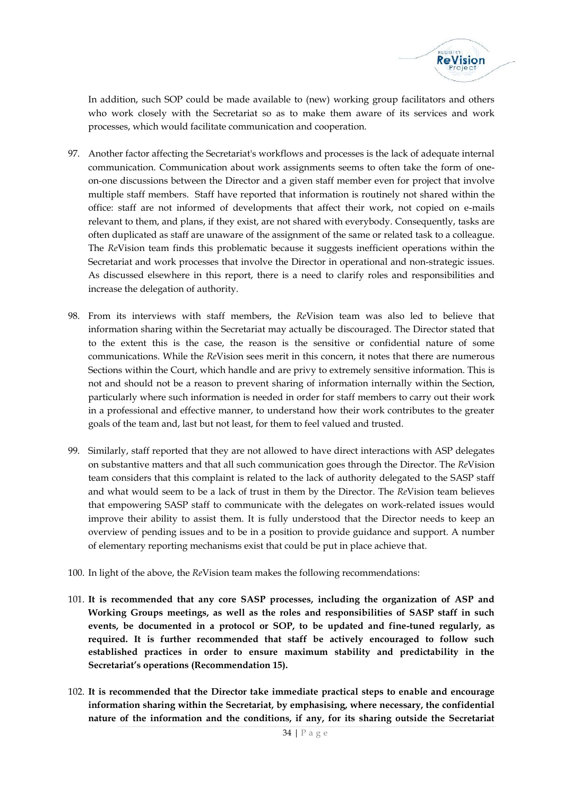

In addition, such SOP could be made available to (new) working group facilitators and others who work closely with the Secretariat so as to make them aware of its services and work processes, which would facilitate communication and cooperation.

- 97. Another factor affecting the Secretariat's workflows and processes is the lack of adequate internal communication. Communication about work assignments seems to often take the form of one on-one discussions between the Director and a given staff member even for project that involve multiple staff members. Staff have reported that information is routinely not shared within the office: staff are not informed of developments that affect their work, not copied on e-mails relevant to them, and plans, if they exist, are not shared with everybody. Consequently, tasks are often duplicated as staff are unaware of the assignment of the same or related task to a colleague. The *Re*Vision team finds this problematic because it suggests inefficient operations within the Secretariat and work processes that involve the Director in operational and non-strategic issues. As discussed elsewhere in this report, there is a need to clarify roles and responsibilities and increase the delegation of authority.
- 98. From its interviews with staff members, the *Re*Vision team was also led to believe that information sharing within the Secretariat may actually be discouraged. The Director stated that to the extent this is the case, the reason is the sensitive or confidential nature of some communications. While the *Re*Vision sees merit in this concern, it notes that there are numerous Sections within the Court, which handle and are privy to extremely sensitive information. This is not and should not be a reason to prevent sharing of information internally within the Section, particularly where such information is needed in order for staff members to carry out their work in a professional and effective manner, to understand how their work contributes to the greater goals of the team and, last but not least, for them to feel valued and trusted.
- 99. Similarly, staff reported that they are not allowed to have direct interactions with ASP delegates on substantive matters and that all such communication goes through the Director. The *Re*Vision team considers that this complaint is related to the lack of authority delegated to the SASP staff and what would seem to be a lack of trust in them by the Director. The *Re*Vision team believes that empowering SASP staff to communicate with the delegates on work-related issues would improve their ability to assist them. It is fully understood that the Director needs to keep an overview of pending issues and to be in a position to provide guidance and support. A number of elementary reporting mechanisms exist that could be put in place achieve that.
- 100. In light of the above, the *Re*Vision team makes the following recommendations:
- 101. **It is recommended that any core SASP processes, including the organization of ASP and Working Groups meetings, as well as the roles and responsibilities of SASP staff in such events, be documented in a protocol or SOP, to be updated and fine-tuned regularly, as required. It is further recommended that staff be actively encouraged to follow such established practices in order to ensure maximum stability and predictability in the Secretariat's operations (Recommendation 15).**
- mediate practical steps to<br>y emphasising, where nec<br>is, if any, for its sharing<br> $34 | P a g e$ 102. **It is recommended that the Director take immediate practical steps to enable and encourage information sharing within the Secretariat, by emphasising, where necessary, the confidential nature of the information and the conditions, if any, for its sharing outside the Secretariat**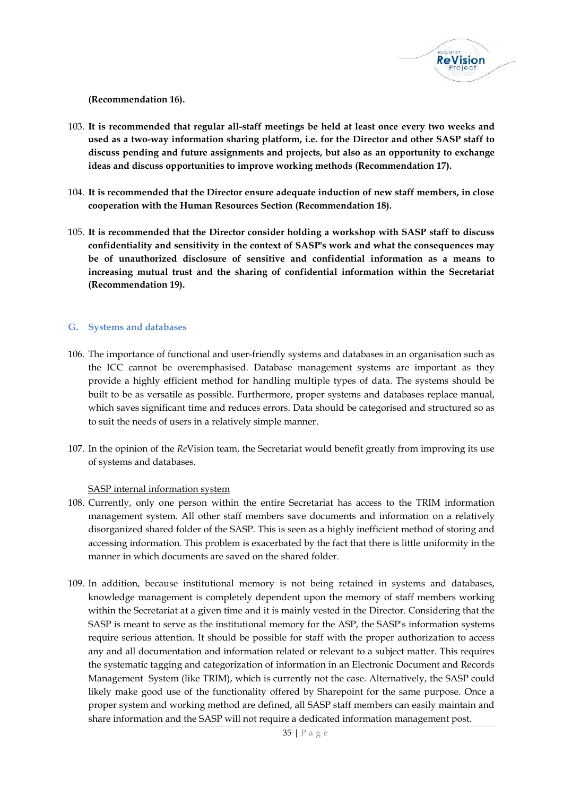

**(Recommendation 16).**

- 103. **It is recommended that regular all-staff meetings be held at least once every two weeks and used as a two-way information sharing platform, i.e. for the Director and other SASP staff to discuss pending and future assignments and projects, but also as an opportunity to exchange ideas and discuss opportunities to improve working methods (Recommendation 17).**
- 104. **It is recommended that the Director ensure adequate induction of new staff members, in close cooperation with the Human Resources Section (Recommendation 18).**
- 105. **It is recommended that the Director consider holding a workshop with SASP staff to discuss confidentiality and sensitivity in the context of SASP's work and what the consequences may be of unauthorized disclosure of sensitive and confidential information as a means to increasing mutual trust and the sharing of confidential information within the Secretariat (Recommendation 19).**

# **G. Systems and databases**

- 106. The importance of functional and user-friendly systems and databases in an organisation such as the ICC cannot be overemphasised. Database management systems are important as they provide a highly efficient method for handling multiple types of data. The systems should be built to be as versatile as possible. Furthermore, proper systems and databases replace manual, which saves significant time and reduces errors. Data should be categorised and structured so as to suit the needs of users in a relatively simple manner.
- 107. In the opinion of the *Re*Vision team, the Secretariat would benefit greatly from improving its use of systems and databases.

#### SASP internal information system

- 108. Currently, only one person within the entire Secretariat has access to the TRIM information management system. All other staff members save documents and information on a relatively disorganized shared folder of the SASP. This is seen as a highly inefficient method of storing and accessing information. This problem is exacerbated by the fact that there is little uniformity in the manner in which documents are saved on the shared folder.
- $\frac{3}{2}$  and  $\frac{3}{2}$  are the since enterpret<br>ered by Sharepoint for the<br>ed, all SASP staff members<br>re a dedicated information<br>35 | P a g e 109. In addition, because institutional memory is not being retained in systems and databases, knowledge management is completely dependent upon the memory of staff members working within the Secretariat at a given time and it is mainly vested in the Director. Considering that the SASP is meant to serve as the institutional memory for the ASP, the SASP's information systems require serious attention. It should be possible for staff with the proper authorization to access any and all documentation and information related or relevant to a subject matter. This requires the systematic tagging and categorization of information in an Electronic Document and Records Management System (like TRIM), which is currently not the case. Alternatively, the SASP could likely make good use of the functionality offered by Sharepoint for the same purpose. Once a proper system and working method are defined, all SASP staff members can easily maintain and share information and the SASP will not require a dedicated information management post.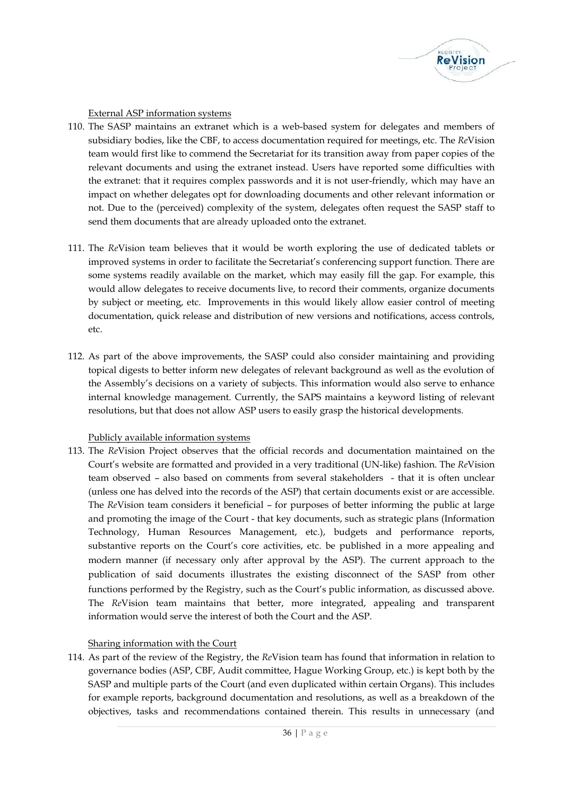

#### External ASP information systems

- 110. The SASP maintains an extranet which is a web-based system for delegates and members of subsidiary bodies, like the CBF, to access documentation required for meetings, etc. The *Re*Vision team would first like to commend the Secretariat for its transition away from paper copies of the relevant documents and using the extranet instead. Users have reported some difficulties with the extranet: that it requires complex passwords and it is not user-friendly, which may have an impact on whether delegates opt for downloading documents and other relevant information or not. Due to the (perceived) complexity of the system, delegates often request the SASP staff to send them documents that are already uploaded onto the extranet.
- 111. The *Re*Vision team believes that it would be worth exploring the use of dedicated tablets or improved systems in order to facilitate the Secretariat's conferencing support function. There are some systems readily available on the market, which may easily fill the gap. For example, this would allow delegates to receive documents live, to record their comments, organize documents by subject or meeting, etc. Improvements in this would likely allow easier control of meeting documentation, quick release and distribution of new versions and notifications, access controls, etc.
- 112. As part of the above improvements, the SASP could also consider maintaining and providing topical digests to better inform new delegates of relevant background as well as the evolution of the Assembly's decisions on a variety of subjects. This information would also serve to enhance internal knowledge management. Currently, the SAPS maintains a keyword listing of relevant resolutions, but that does not allow ASP users to easily grasp the historical developments.

#### Publicly available information systems

113. The *Re*Vision Project observes that the official records and documentation maintained on the Court's website are formatted and provided in a very traditional (UN-like) fashion. The *Re*Vision team observed – also based on comments from several stakeholders - that it is often unclear (unless one has delved into the records of the ASP) that certain documents exist or are accessible. The *Re*Vision team considers it beneficial – for purposes of better informing the public at large and promoting the image of the Court - that key documents, such as strategic plans (Information Technology, Human Resources Management, etc.), budgets and performance reports, substantive reports on the Court's core activities, etc. be published in a more appealing and modern manner (if necessary only after approval by the ASP). The current approach to the publication of said documents illustrates the existing disconnect of the SASP from other functions performed by the Registry, such as the Court's public information, as discussed above. The *Re*Vision team maintains that better, more integrated, appealing and transparent information would serve the interest of both the Court and the ASP.

# Sharing information with the Court

In duplicated within certain<br>
on and resolutions, as wel<br>
ained therein. This result<br>
36 | P a g e 114. As part of the review of the Registry, the *Re*Vision team has found that information in relation to governance bodies (ASP, CBF, Audit committee, Hague Working Group, etc.) is kept both by the SASP and multiple parts of the Court (and even duplicated within certain Organs). This includes for example reports, background documentation and resolutions, as well as a breakdown of the objectives, tasks and recommendations contained therein. This results in unnecessary (and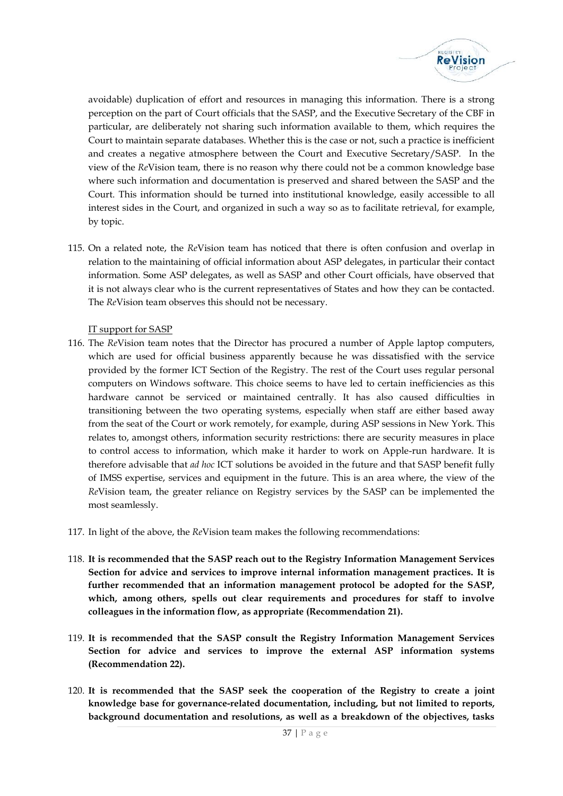

avoidable) duplication of effort and resources in managing this information. There is a strong perception on the part of Court officials that the SASP, and the Executive Secretary of the CBF in particular, are deliberately not sharing such information available to them, which requires the Court to maintain separate databases. Whether this is the case or not, such a practice is inefficient and creates a negative atmosphere between the Court and Executive Secretary/SASP. In the view of the *Re*Vision team, there is no reason why there could not be a common knowledge base where such information and documentation is preserved and shared between the SASP and the Court. This information should be turned into institutional knowledge, easily accessible to all interest sides in the Court, and organized in such a way so as to facilitate retrieval, for example, by topic.

115. On a related note, the *Re*Vision team has noticed that there is often confusion and overlap in relation to the maintaining of official information about ASP delegates, in particular their contact information. Some ASP delegates, as well as SASP and other Court officials, have observed that it is not always clear who is the current representatives of States and how they can be contacted. The *Re*Vision team observes this should not be necessary.

# IT support for SASP

- 116. The *Re*Vision team notes that the Director has procured a number of Apple laptop computers, which are used for official business apparently because he was dissatisfied with the service provided by the former ICT Section of the Registry. The rest of the Court uses regular personal computers on Windows software. This choice seems to have led to certain inefficiencies as this hardware cannot be serviced or maintained centrally. It has also caused difficulties in transitioning between the two operating systems, especially when staff are either based away from the seat of the Court or work remotely, for example, during ASP sessions in New York. This relates to, amongst others, information security restrictions: there are security measures in place to control access to information, which make it harder to work on Apple-run hardware. It is therefore advisable that *ad hoc* ICT solutions be avoided in the future and that SASP benefit fully of IMSS expertise, services and equipment in the future. This is an area where, the view of the *Re*Vision team, the greater reliance on Registry services by the SASP can be implemented the most seamlessly.
- 117. In light of the above, the *Re*Vision team makes the following recommendations:
- 118. **It is recommended that the SASP reach out to the Registry Information Management Services Section for advice and services to improve internal information management practices. It is further recommended that an information management protocol be adopted for the SASP, which, among others, spells out clear requirements and procedures for staff to involve colleagues in the information flow, as appropriate (Recommendation 21).**
- 119. **It is recommended that the SASP consult the Registry Information Management Services Section for advice and services to improve the external ASP information systems (Recommendation 22).**
- 120. It is recommended that the SASP seek the cooperation of the Registry to create a joint<br>knowledge base for governance-related documentation, including, but not limited to reports,<br>background documentation and resoluti **knowledge base for governance-related documentation, including, but not limited to reports, background documentation and resolutions, as well as a breakdown of the objectives, tasks**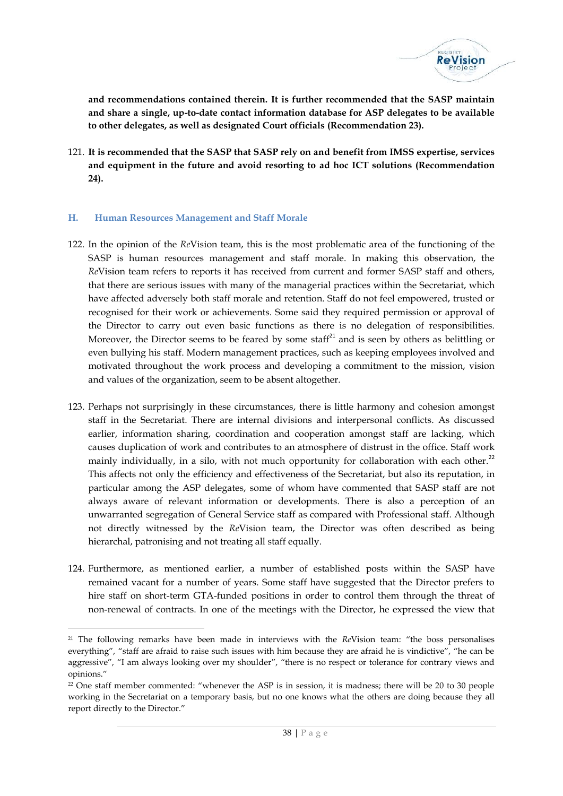

**and recommendations contained therein. It is further recommended that the SASP maintain and share a single, up-to-date contact information database for ASP delegates to be available to other delegates, as well as designated Court officials (Recommendation 23).**

121. **It is recommended that the SASP that SASP rely on and benefit from IMSS expertise, services and equipment in the future and avoid resorting to ad hoc ICT solutions (Recommendation 24).**

# **H. Human Resources Management and Staff Morale**

- 122. In the opinion of the *Re*Vision team, this is the most problematic area of the functioning of the SASP is human resources management and staff morale. In making this observation, the *Re*Vision team refers to reports it has received from current and former SASP staff and others, that there are serious issues with many of the managerial practices within the Secretariat, which have affected adversely both staff morale and retention. Staff do not feel empowered, trusted or recognised for their work or achievements. Some said they required permission or approval of the Director to carry out even basic functions as there is no delegation of responsibilities. Moreover, the Director seems to be feared by some staff<sup>21</sup> and is seen by others as belittling or even bullying his staff. Modern management practices, such as keeping employees involved and motivated throughout the work process and developing a commitment to the mission, vision and values of the organization, seem to be absent altogether.
- 123. Perhaps not surprisingly in these circumstances, there is little harmony and cohesion amongst staff in the Secretariat. There are internal divisions and interpersonal conflicts. As discussed earlier, information sharing, coordination and cooperation amongst staff are lacking, which causes duplication of work and contributes to an atmosphere of distrust in the office. Staff work mainly individually, in a silo, with not much opportunity for collaboration with each other.<sup>22</sup> This affects not only the efficiency and effectiveness of the Secretariat, but also its reputation, in particular among the ASP delegates, some of whom have commented that SASP staff are not always aware of relevant information or developments. There is also a perception of an unwarranted segregation of General Service staff as compared with Professional staff. Although not directly witnessed by the *Re*Vision team, the Director was often described as being hierarchal, patronising and not treating all staff equally.
- 124. Furthermore, as mentioned earlier, a number of established posts within the SASP have remained vacant for a number of years. Some staff have suggested that the Director prefers to hire staff on short-term GTA-funded positions in order to control them through the threat of non-renewal of contracts. In one of the meetings with the Director, he expressed the view that

<sup>21</sup> The following remarks have been made in interviews with the *Re*Vision team: "the boss personalises everything", "staff are afraid to raise such issues with him because they are afraid he is vindictive", "he can be aggressive", "I am always looking over my shoulder", "there is no respect or tolerance for contrary views and opinions."

in session, it is madness; the<br>one knows what the others<br> $38 | P a g e$ <sup>22</sup> One staff member commented: "whenever the ASP is in session, it is madness; there will be 20 to 30 people working in the Secretariat on a temporary basis, but no one knows what the others are doing because they all report directly to the Director."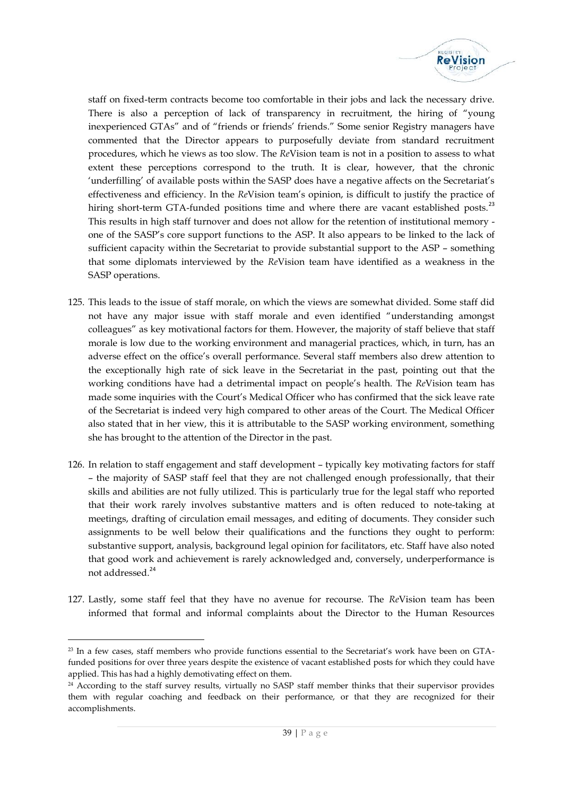

staff on fixed-term contracts become too comfortable in their jobs and lack the necessary drive. There is also a perception of lack of transparency in recruitment, the hiring of "young inexperienced GTAs" and of "friends or friends' friends." Some senior Registry managers have commented that the Director appears to purposefully deviate from standard recruitment procedures, which he views as too slow. The *Re*Vision team is not in a position to assess to what extent these perceptions correspond to the truth. It is clear, however, that the chronic 'underfilling' of available posts within the SASP does have a negative affects on the Secretariat's effectiveness and efficiency. In the *Re*Vision team's opinion, is difficult to justify the practice of hiring short-term GTA-funded positions time and where there are vacant established posts.<sup>23</sup> This results in high staff turnover and does not allow for the retention of institutional memory one of the SASP's core support functions to the ASP. It also appears to be linked to the lack of sufficient capacity within the Secretariat to provide substantial support to the ASP – something that some diplomats interviewed by the *Re*Vision team have identified as a weakness in the SASP operations.

- 125. This leads to the issue of staff morale, on which the views are somewhat divided. Some staff did not have any major issue with staff morale and even identified "understanding amongst colleagues" as key motivational factors for them. However, the majority of staff believe that staff morale is low due to the working environment and managerial practices, which, in turn, has an adverse effect on the office's overall performance. Several staff members also drew attention to the exceptionally high rate of sick leave in the Secretariat in the past, pointing out that the working conditions have had a detrimental impact on people's health. The *Re*Vision team has made some inquiries with the Court's Medical Officer who has confirmed that the sick leave rate of the Secretariat is indeed very high compared to other areas of the Court. The Medical Officer also stated that in her view, this it is attributable to the SASP working environment, something she has brought to the attention of the Director in the past.
- 126. In relation to staff engagement and staff development typically key motivating factors for staff – the majority of SASP staff feel that they are not challenged enough professionally, that their skills and abilities are not fully utilized. This is particularly true for the legal staff who reported that their work rarely involves substantive matters and is often reduced to note-taking at meetings, drafting of circulation email messages, and editing of documents. They consider such assignments to be well below their qualifications and the functions they ought to perform: substantive support, analysis, background legal opinion for facilitators, etc. Staff have also noted that good work and achievement is rarely acknowledged and, conversely, underperformance is not addressed.<sup>24</sup>
- 127. Lastly, some staff feel that they have no avenue for recourse. The *Re*Vision team has been informed that formal and informal complaints about the Director to the Human Resources

<sup>&</sup>lt;sup>23</sup> In a few cases, staff members who provide functions essential to the Secretariat's work have been on GTAfunded positions for over three years despite the existence of vacant established posts for which they could have applied. This has had a highly demotivating effect on them.

SP staff member thinks that<br>performance, or that they<br> $39 | P a g e$ <sup>24</sup> According to the staff survey results, virtually no SASP staff member thinks that their supervisor provides them with regular coaching and feedback on their performance, or that they are recognized for their accomplishments.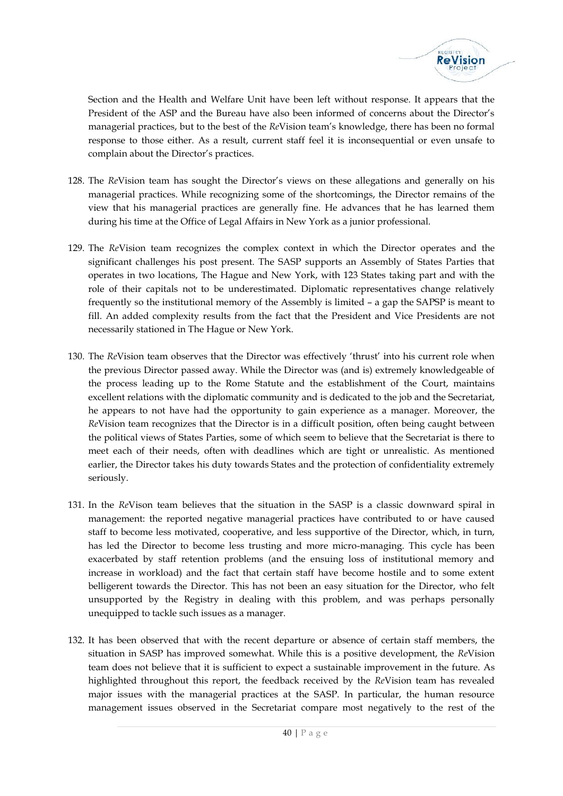

Section and the Health and Welfare Unit have been left without response. It appears that the President of the ASP and the Bureau have also been informed of concerns about the Director's managerial practices, but to the best of the *Re*Vision team's knowledge, there has been no formal response to those either. As a result, current staff feel it is inconsequential or even unsafe to complain about the Director's practices.

- 128. The *Re*Vision team has sought the Director's views on these allegations and generally on his managerial practices. While recognizing some of the shortcomings, the Director remains of the view that his managerial practices are generally fine. He advances that he has learned them during his time at the Office of Legal Affairs in New York as a junior professional.
- 129. The *Re*Vision team recognizes the complex context in which the Director operates and the significant challenges his post present. The SASP supports an Assembly of States Parties that operates in two locations, The Hague and New York, with 123 States taking part and with the role of their capitals not to be underestimated. Diplomatic representatives change relatively frequently so the institutional memory of the Assembly is limited –a gap the SAPSP is meant to fill. An added complexity results from the fact that the President and Vice Presidents are not necessarily stationed in The Hague or New York.
- 130. The *Re*Vision team observes that the Director was effectively 'thrust' into his current role when the previous Director passed away. While the Director was (and is) extremely knowledgeable of the process leading up to the Rome Statute and the establishment of the Court, maintains excellent relations with the diplomatic community and is dedicated to the job and the Secretariat, he appears to not have had the opportunity to gain experience as a manager. Moreover, the *Re*Vision team recognizes that the Director is in a difficult position, often being caught between the political views of States Parties, some of which seem to believe that the Secretariat is there to meet each of their needs, often with deadlines which are tight or unrealistic. As mentioned earlier, the Director takes his duty towards States and the protection of confidentiality extremely seriously.
- 131. In the *Re*Vison team believes that the situation in the SASP is a classic downward spiral in management: the reported negative managerial practices have contributed to or have caused staff to become less motivated, cooperative, and less supportive of the Director, which, in turn, has led the Director to become less trusting and more micro-managing. This cycle has been exacerbated by staff retention problems (and the ensuing loss of institutional memory and increase in workload) and the fact that certain staff have become hostile and to some extent belligerent towards the Director. This has not been an easy situation for the Director, who felt unsupported by the Registry in dealing with this problem, and was perhaps personally unequipped to tackle such issues as a manager.
- at the SASP. In particulariat compare most negatively  $\frac{1}{40}$  | P a g e 132. It has been observed that with the recent departure or absence of certain staff members, the situation in SASP has improved somewhat. While this is a positive development, the *Re*Vision team does not believe that it is sufficient to expect a sustainable improvement in the future. As highlighted throughout this report, the feedback received by the *Re*Vision team has revealed major issues with the managerial practices at the SASP. In particular, the human resource management issues observed in the Secretariat compare most negatively to the rest of the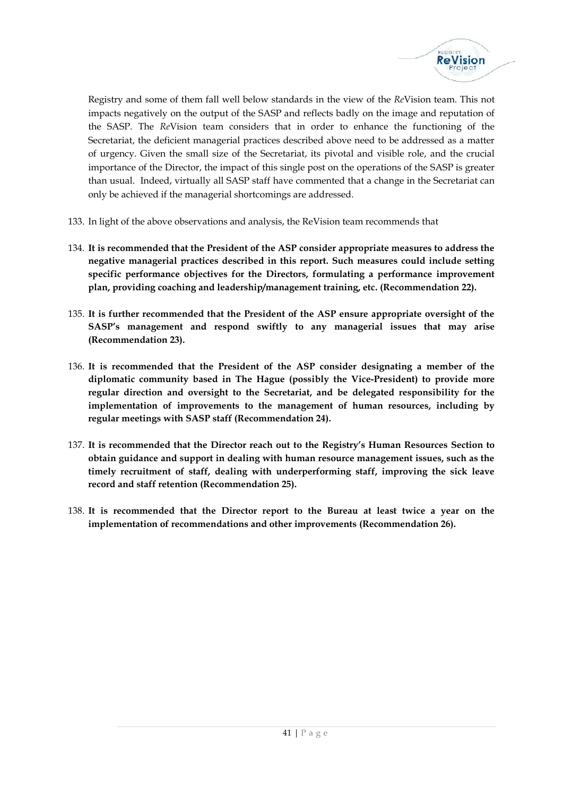

Registry and some of them fall well below standards in the view of the *Re*Vision team. This not impacts negatively on the output of the SASP and reflects badly on the image and reputation of the SASP. The *Re*Vision team considers that in order to enhance the functioning of the Secretariat, the deficient managerial practices described above need to be addressed as a matter of urgency. Given the small size of the Secretariat, its pivotal and visible role, and the crucial importance of the Director, the impact of this single post on the operations of the SASP is greater than usual. Indeed, virtually all SASP staff have commented that a change in the Secretariat can only be achieved if the managerial shortcomings are addressed.

- 133. In light of the above observations and analysis, the ReVision team recommends that
- 134. **It is recommended that the President of the ASP consider appropriate measures to address the negative managerial practices described in this report. Such measures could include setting specific performance objectives for the Directors, formulating a performance improvement plan, providing coaching and leadership/management training, etc. (Recommendation 22).**
- 135. **It is further recommended that the President of the ASP ensure appropriate oversight of the SASP's management and respond swiftly to any managerial issues that may arise (Recommendation 23).**
- 136. **It is recommended that the President of the ASP consider designating a member of the diplomatic community based in The Hague (possibly the Vice-President) to provide more regular direction and oversight to the Secretariat, and be delegated responsibility for the implementation of improvements to the management of human resources, including by regular meetings with SASP staff (Recommendation 24).**
- 137. **It is recommended that the Director reach out to the Registry's Human Resources Section to obtain guidance and support in dealing with human resource management issues, such as the timely recruitment of staff, dealing with underperforming staff, improving the sick leave record and staff retention (Recommendation 25).**
- 138. **It is recommended that the Director report to the Bureau at least twice a year on the implementation of recommendations and other improvements (Recommendation 26).**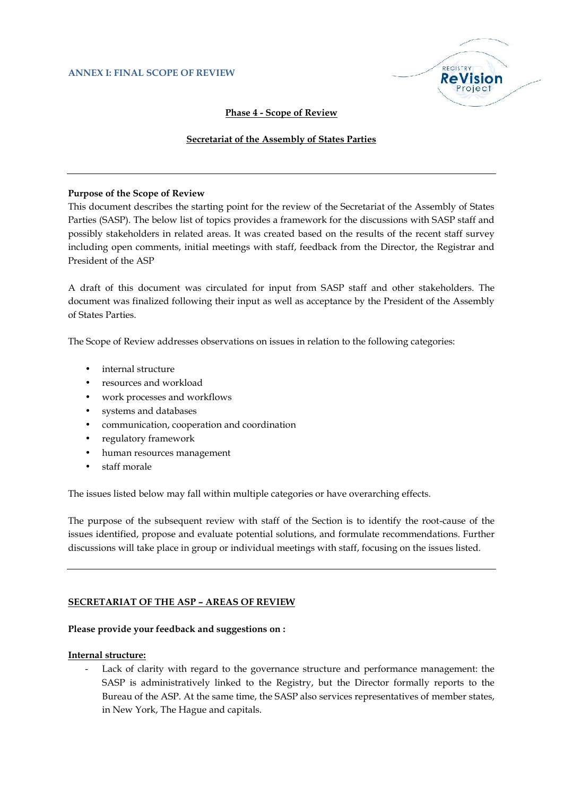

#### **Phase 4 - Scope of Review**

#### **Secretariat of the Assembly of States Parties**

#### **Purpose of the Scope of Review**

This document describes the starting point for the review of the Secretariat of the Assembly of States Parties (SASP). The below list of topics provides a framework for the discussions with SASP staff and possibly stakeholders in related areas. It was created based on the results of the recent staff survey including open comments, initial meetings with staff, feedback from the Director, the Registrar and President of the ASP

A draft of this document was circulated for input from SASP staff and other stakeholders. The document was finalized following their input as well as acceptance by the President of the Assembly of States Parties.

The Scope of Review addresses observations on issues in relation to the following categories:

- internal structure
- resources and workload
- work processes and workflows
- systems and databases
- communication, cooperation and coordination
- regulatory framework
- human resources management
- staff morale

The issues listed below may fall within multiple categories or have overarching effects.

The purpose of the subsequent review with staff of the Section is to identify the root-cause of the issues identified, propose and evaluate potential solutions, and formulate recommendations. Further discussions will take place in group or individual meetings with staff, focusing on the issues listed.

#### **SECRETARIAT OF THE ASP – AREAS OF REVIEW**

#### **Please provide your feedback and suggestions on :**

#### **Internal structure:**

Lack of clarity with regard to the governance structure and performance management: the SASP is administratively linked to the Registry, but the Director formally reports to the Bureau of the ASP. At the same time, the SASP also services representatives of member states, in New York, The Hague and capitals.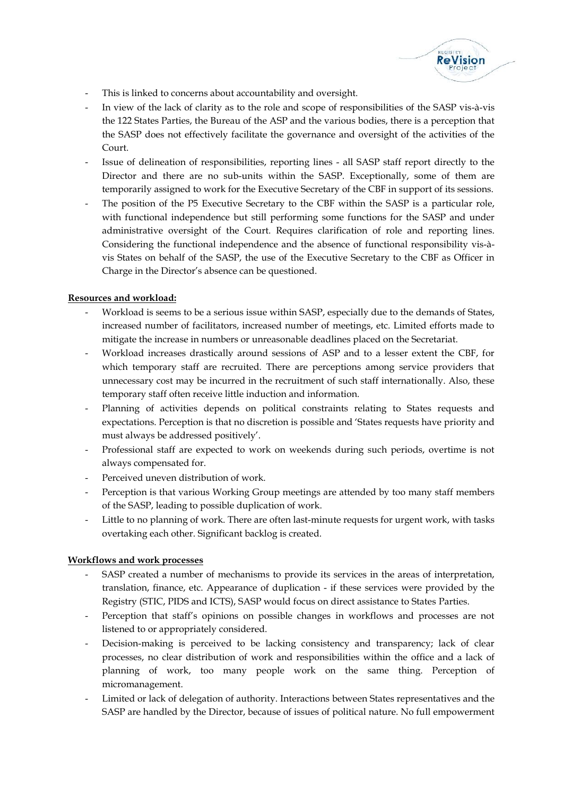

- This is linked to concerns about accountability and oversight.
- In view of the lack of clarity as to the role and scope of responsibilities of the SASP vis-à-vis the 122 States Parties, the Bureau of the ASP and the various bodies, there is a perception that the SASP does not effectively facilitate the governance and oversight of the activities of the Court.
- Issue of delineation of responsibilities, reporting lines all SASP staff report directly to the Director and there are no sub-units within the SASP. Exceptionally, some of them are temporarily assigned to work for the Executive Secretary of the CBF in support of its sessions.
- The position of the P5 Executive Secretary to the CBF within the SASP is a particular role, with functional independence but still performing some functions for the SASP and under administrative oversight of the Court. Requires clarification of role and reporting lines. Considering the functional independence and the absence of functional responsibility vis-à vis States on behalf of the SASP, the use of the Executive Secretary to the CBF as Officer in Charge in the Director's absence can be questioned.

# **Resources and workload:**

- Workload is seems to be a serious issue within SASP, especially due to the demands of States, increased number of facilitators, increased number of meetings, etc. Limited efforts made to mitigate the increase in numbers or unreasonable deadlines placed on the Secretariat.
- Workload increases drastically around sessions of ASP and to a lesser extent the CBF, for which temporary staff are recruited. There are perceptions among service providers that unnecessary cost may be incurred in the recruitment of such staff internationally. Also, these temporary staff often receive little induction and information.
- Planning of activities depends on political constraints relating to States requests and expectations. Perception is that no discretion is possible and 'States requests have priority and must always be addressed positively'.
- Professional staff are expected to work on weekends during such periods, overtime is not always compensated for.
- Perceived uneven distribution of work.
- Perception is that various Working Group meetings are attended by too many staff members of the SASP, leading to possible duplication of work.
- Little to no planning of work. There are often last-minute requests for urgent work, with tasks overtaking each other. Significant backlog is created.

#### **Workflows and work processes**

- SASP created a number of mechanisms to provide its services in the areas of interpretation, translation, finance, etc. Appearance of duplication - if these services were provided by the Registry (STIC, PIDS and ICTS), SASP would focus on direct assistance to States Parties.
- Perception that staff's opinions on possible changes in workflows and processes are not listened to or appropriately considered.
- Decision-making is perceived to be lacking consistency and transparency; lack of clear processes, no clear distribution of work and responsibilities within the office and a lack of planning of work, too many people work on the same thing. Perception of micromanagement.
- Limited or lack of delegation of authority. Interactions between States representatives and the SASP are handled by the Director, because of issues of political nature. No full empowerment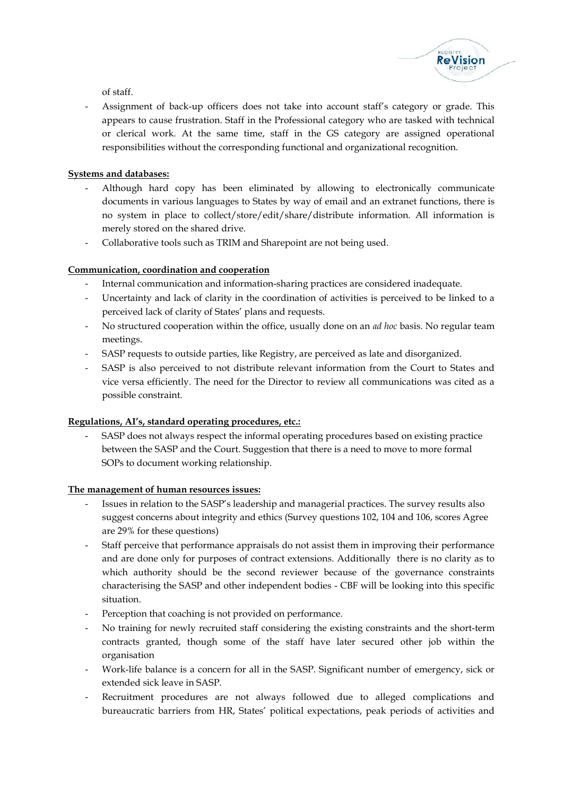

of staff.

Assignment of back-up officers does not take into account staff's category or grade. This appears to cause frustration. Staff in the Professional category who are tasked with technical or clerical work. At the same time, staff in the GS category are assigned operational responsibilities without the corresponding functional and organizational recognition.

# **Systems and databases:**

- Although hard copy has been eliminated by allowing to electronically communicate documents in various languages to States by way of email and an extranet functions, there is no system in place to collect/store/edit/share/distribute information. All information is merely stored on the shared drive.
- Collaborative tools such as TRIM and Sharepoint are not being used.

# **Communication, coordination and cooperation**

- Internal communication and information-sharing practices are considered inadequate.
- Uncertainty and lack of clarity in the coordination of activities is perceived to be linked to a perceived lack of clarity of States' plans and requests.
- No structured cooperation within the office, usually done on an *ad hoc* basis. No regular team meetings.
- SASP requests to outside parties, like Registry, are perceived as late and disorganized.
- SASP is also perceived to not distribute relevant information from the Court to States and vice versa efficiently. The need for the Director to review all communications was cited as a possible constraint.

#### **Regulations, AI's, standard operating procedures, etc.:**

- SASP does not always respect the informal operating procedures based on existing practice between the SASP and the Court. Suggestion that there is a need to move to more formal SOPs to document working relationship.

#### **The management of human resources issues:**

- Issues in relation to the SASP's leadership and managerial practices. The survey results also suggest concerns about integrity and ethics (Survey questions 102, 104 and 106, scores Agree are 29% for these questions)
- Staff perceive that performance appraisals do not assist them in improving their performance and are done only for purposes of contract extensions. Additionally there is no clarity as to which authority should be the second reviewer because of the governance constraints characterising the SASP and other independent bodies - CBF will be looking into this specific situation.
- Perception that coaching is not provided on performance.
- No training for newly recruited staff considering the existing constraints and the short-term contracts granted, though some of the staff have later secured other job within the organisation
- Work-life balance is a concern for all in the SASP. Significant number of emergency, sick or extended sick leave in SASP.
- Recruitment procedures are not always followed due to alleged complications and bureaucratic barriers from HR, States' political expectations, peak periods of activities and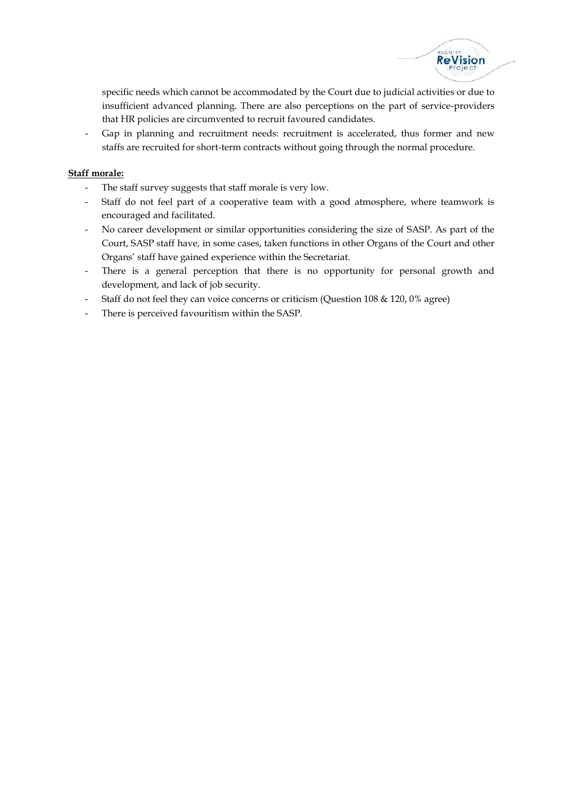

specific needs which cannot be accommodated by the Court due to judicial activities or due to insufficient advanced planning. There are also perceptions on the part of service-providers that HR policies are circumvented to recruit favoured candidates.

Gap in planning and recruitment needs: recruitment is accelerated, thus former and new staffs are recruited for short-term contracts without going through the normal procedure.

### **Staff morale:**

- The staff survey suggests that staff morale is very low.
- Staff do not feel part of a cooperative team with a good atmosphere, where teamwork is encouraged and facilitated.
- No career development or similar opportunities considering the size of SASP. As part of the Court, SASP staff have, in some cases, taken functions in other Organs of the Court and other Organs' staff have gained experience within the Secretariat.
- There is a general perception that there is no opportunity for personal growth and development, and lack of job security.
- Staff do not feel they can voice concerns or criticism (Question 108 & 120, 0% agree)
- There is perceived favouritism within the SASP.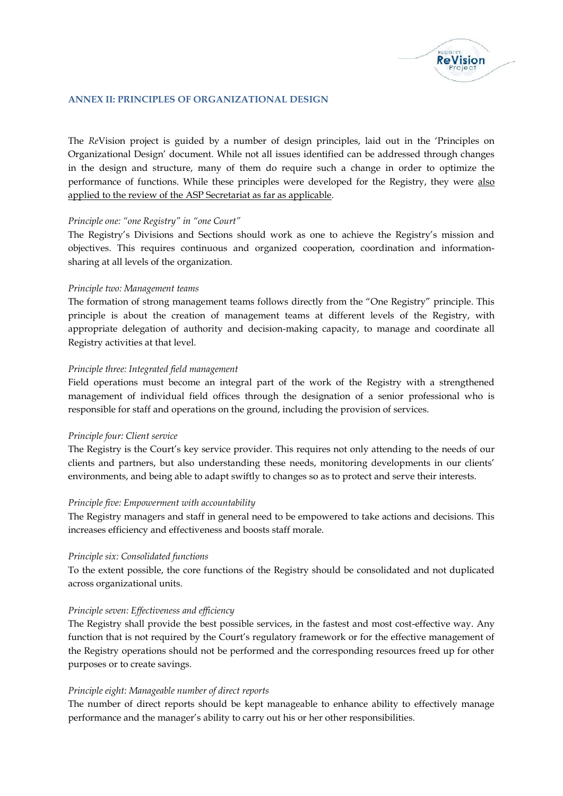

#### **ANNEX II: PRINCIPLES OF ORGANIZATIONAL DESIGN**

The *Re*Vision project is guided by a number of design principles, laid out in the 'Principles on Organizational Design' document. While not all issues identified can be addressed through changes in the design and structure, many of them do require such a change in order to optimize the performance of functions. While these principles were developed for the Registry, they were also applied to the review of the ASP Secretariat as far as applicable.

#### *Principle one: "one Registry" in "one Court"*

The Registry's Divisions and Sections should work as one to achieve the Registry's mission and objectives. This requires continuous and organized cooperation, coordination and information sharing at all levels of the organization.

#### *Principle two: Management teams*

The formation of strong management teams follows directly from the "One Registry" principle. This principle is about the creation of management teams at different levels of the Registry, with appropriate delegation of authority and decision-making capacity, to manage and coordinate all Registry activities at that level.

#### *Principle three: Integrated field management*

Field operations must become an integral part of the work of the Registry with a strengthened management of individual field offices through the designation of a senior professional who is responsible for staff and operations on the ground, including the provision of services.

#### *Principle four: Client service*

The Registry is the Court's key service provider. This requires not only attending to the needs of our clients and partners, but also understanding these needs, monitoring developments in our clients' environments, and being able to adapt swiftly to changes so as to protect and serve their interests.

#### *Principle five: Empowerment with accountability*

The Registry managers and staff in general need to be empowered to take actions and decisions. This increases efficiency and effectiveness and boosts staff morale.

#### *Principle six: Consolidated functions*

To the extent possible, the core functions of the Registry should be consolidated and not duplicated across organizational units.

#### *Principle seven: Effectiveness and efficiency*

The Registry shall provide the best possible services, in the fastest and most cost-effective way. Any function that is not required by the Court's regulatory framework or for the effective management of the Registry operations should not be performed and the corresponding resources freed up for other purposes or to create savings.

#### *Principle eight: Manageable number of direct reports*

The number of direct reports should be kept manageable to enhance ability to effectively manage performance and the manager's ability to carry out his or her other responsibilities.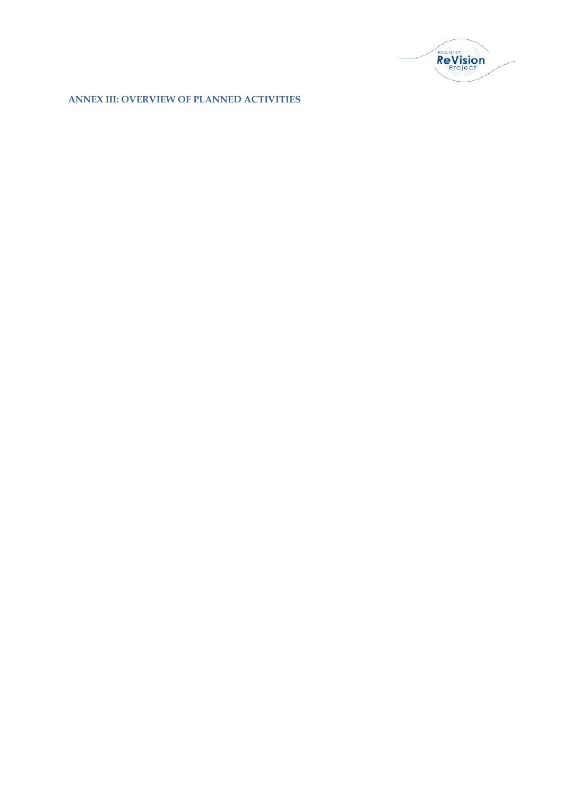

**ANNEX III: OVERVIEW OF PLANNED ACTIVITIES**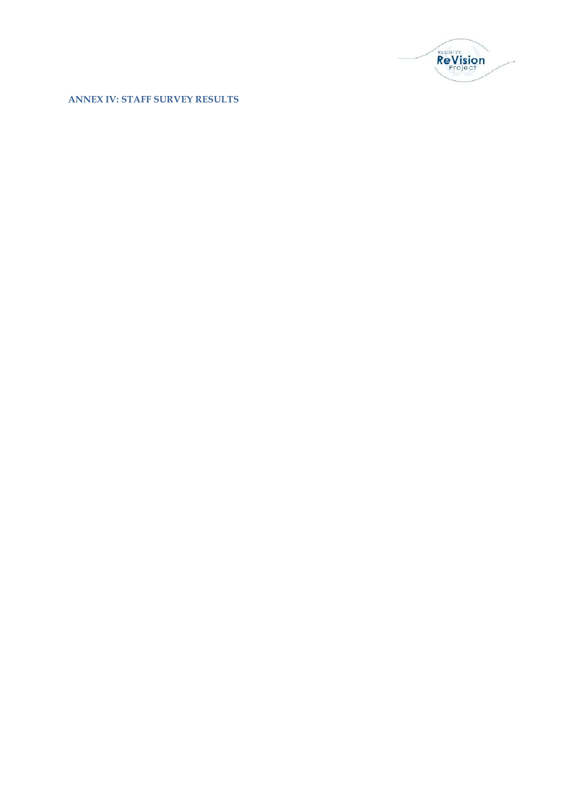

**ANNEX IV: STAFF SURVEY RESULTS**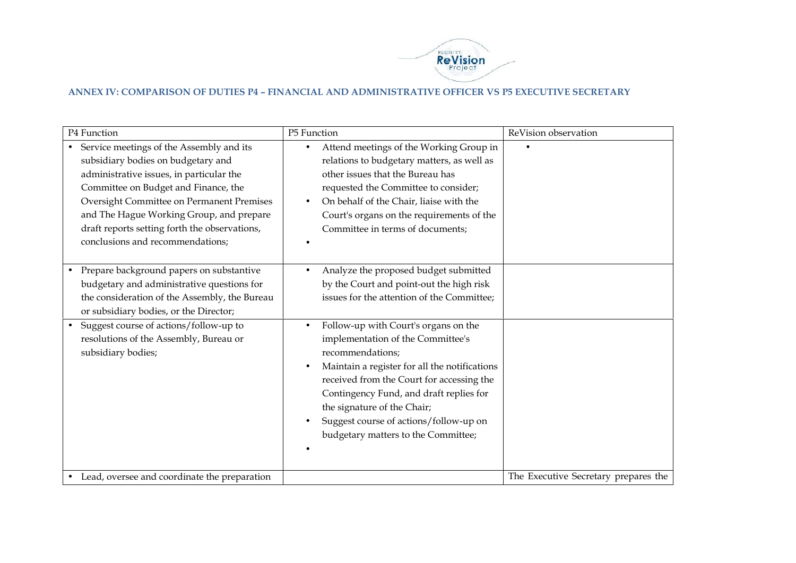

# **ANNEX IV: COMPARISON OF DUTIES P4 – FINANCIAL AND ADMINISTRATIVE OFFICER VS P5 EXECUTIVE SECRETARY**

| P4 Function                                                                                                                                                                                                                                                                                                                                      | P5 Function                                                                                                                                                                                                                                                                                                                                            | ReVision observation                 |
|--------------------------------------------------------------------------------------------------------------------------------------------------------------------------------------------------------------------------------------------------------------------------------------------------------------------------------------------------|--------------------------------------------------------------------------------------------------------------------------------------------------------------------------------------------------------------------------------------------------------------------------------------------------------------------------------------------------------|--------------------------------------|
| Service meetings of the Assembly and its<br>subsidiary bodies on budgetary and<br>administrative issues, in particular the<br>Committee on Budget and Finance, the<br>Oversight Committee on Permanent Premises<br>and The Hague Working Group, and prepare<br>draft reports setting forth the observations,<br>conclusions and recommendations; | Attend meetings of the Working Group in<br>relations to budgetary matters, as well as<br>other issues that the Bureau has<br>requested the Committee to consider;<br>On behalf of the Chair, liaise with the<br>Court's organs on the requirements of the<br>Committee in terms of documents;                                                          | $\bullet$                            |
| Prepare background papers on substantive<br>budgetary and administrative questions for<br>the consideration of the Assembly, the Bureau<br>or subsidiary bodies, or the Director;                                                                                                                                                                | Analyze the proposed budget submitted<br>$\bullet$<br>by the Court and point-out the high risk<br>issues for the attention of the Committee;                                                                                                                                                                                                           |                                      |
| Suggest course of actions/follow-up to<br>resolutions of the Assembly, Bureau or<br>subsidiary bodies;                                                                                                                                                                                                                                           | Follow-up with Court's organs on the<br>implementation of the Committee's<br>recommendations;<br>Maintain a register for all the notifications<br>received from the Court for accessing the<br>Contingency Fund, and draft replies for<br>the signature of the Chair;<br>Suggest course of actions/follow-up on<br>budgetary matters to the Committee; |                                      |
| Lead, oversee and coordinate the preparation                                                                                                                                                                                                                                                                                                     |                                                                                                                                                                                                                                                                                                                                                        | The Executive Secretary prepares the |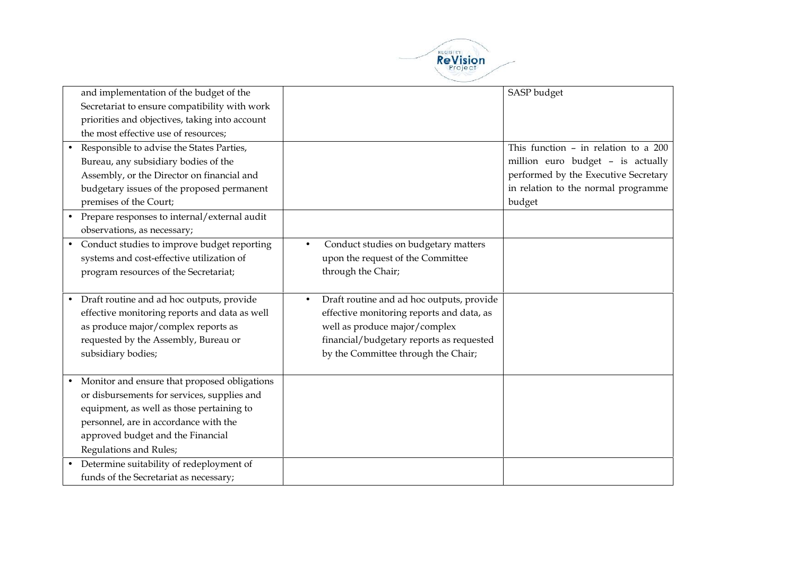

| and implementation of the budget of the                                                                                                                                                                                                                                                |                                                                                                                                                                                                                         | SASP budget                                                                                                                                                          |
|----------------------------------------------------------------------------------------------------------------------------------------------------------------------------------------------------------------------------------------------------------------------------------------|-------------------------------------------------------------------------------------------------------------------------------------------------------------------------------------------------------------------------|----------------------------------------------------------------------------------------------------------------------------------------------------------------------|
| Secretariat to ensure compatibility with work<br>priorities and objectives, taking into account                                                                                                                                                                                        |                                                                                                                                                                                                                         |                                                                                                                                                                      |
| the most effective use of resources;                                                                                                                                                                                                                                                   |                                                                                                                                                                                                                         |                                                                                                                                                                      |
| Responsible to advise the States Parties,<br>Bureau, any subsidiary bodies of the<br>Assembly, or the Director on financial and<br>budgetary issues of the proposed permanent<br>premises of the Court;<br>Prepare responses to internal/external audit<br>observations, as necessary; |                                                                                                                                                                                                                         | This function $-$ in relation to a 200<br>million euro budget - is actually<br>performed by the Executive Secretary<br>in relation to the normal programme<br>budget |
| Conduct studies to improve budget reporting<br>$\bullet$<br>systems and cost-effective utilization of<br>program resources of the Secretariat;                                                                                                                                         | Conduct studies on budgetary matters<br>$\bullet$<br>upon the request of the Committee<br>through the Chair;                                                                                                            |                                                                                                                                                                      |
| • Draft routine and ad hoc outputs, provide<br>effective monitoring reports and data as well<br>as produce major/complex reports as<br>requested by the Assembly, Bureau or<br>subsidiary bodies;                                                                                      | Draft routine and ad hoc outputs, provide<br>$\bullet$<br>effective monitoring reports and data, as<br>well as produce major/complex<br>financial/budgetary reports as requested<br>by the Committee through the Chair; |                                                                                                                                                                      |
| Monitor and ensure that proposed obligations<br>$\bullet$<br>or disbursements for services, supplies and<br>equipment, as well as those pertaining to<br>personnel, are in accordance with the<br>approved budget and the Financial<br>Regulations and Rules;                          |                                                                                                                                                                                                                         |                                                                                                                                                                      |
| Determine suitability of redeployment of<br>funds of the Secretariat as necessary;                                                                                                                                                                                                     |                                                                                                                                                                                                                         |                                                                                                                                                                      |